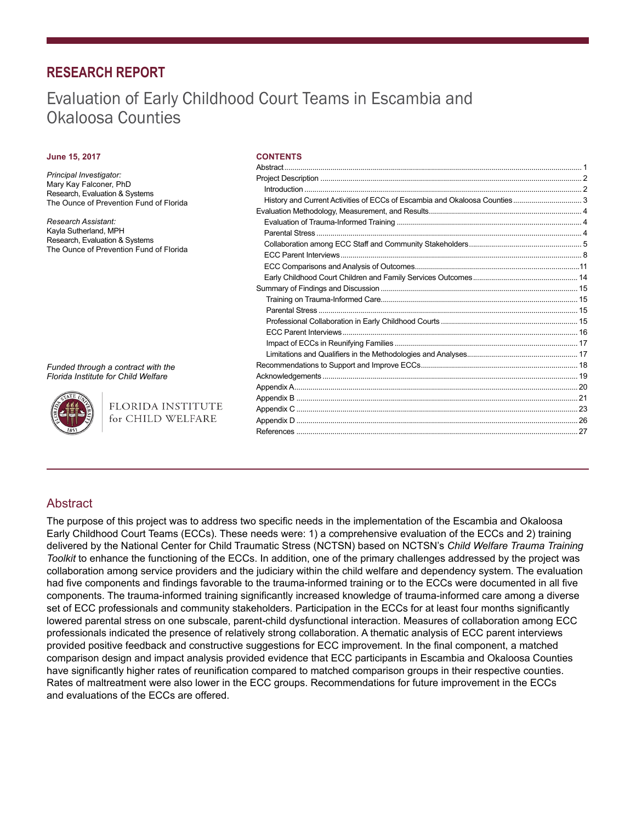# **RESEARCH REPORT**

# Evaluation of Early Childhood Court Teams in Escambia and Okaloosa Counties

#### **June 15, 2017**

#### *Principal Investigator:* Mary Kay Falconer, PhD Research, Evaluation & Systems The Ounce of Prevention Fund of Florida

*Research Assistant:*  Kayla Sutherland, MPH Research, Evaluation & Systems The Ounce of Prevention Fund of Florida

#### **CONTENTS**

*Funded through a contract with the Florida Institute for Child Welfare*

> FLORIDA INSTITUTE for CHILD WELFARE

# **Abstract**

The purpose of this project was to address two specific needs in the implementation of the Escambia and Okaloosa Early Childhood Court Teams (ECCs). These needs were: 1) a comprehensive evaluation of the ECCs and 2) training delivered by the National Center for Child Traumatic Stress (NCTSN) based on NCTSN's *Child Welfare Trauma Training Toolkit* to enhance the functioning of the ECCs. In addition, one of the primary challenges addressed by the project was collaboration among service providers and the judiciary within the child welfare and dependency system. The evaluation had five components and findings favorable to the trauma-informed training or to the ECCs were documented in all five components. The trauma-informed training significantly increased knowledge of trauma-informed care among a diverse set of ECC professionals and community stakeholders. Participation in the ECCs for at least four months significantly lowered parental stress on one subscale, parent-child dysfunctional interaction. Measures of collaboration among ECC professionals indicated the presence of relatively strong collaboration. A thematic analysis of ECC parent interviews provided positive feedback and constructive suggestions for ECC improvement. In the final component, a matched comparison design and impact analysis provided evidence that ECC participants in Escambia and Okaloosa Counties have significantly higher rates of reunification compared to matched comparison groups in their respective counties. Rates of maltreatment were also lower in the ECC groups. Recommendations for future improvement in the ECCs and evaluations of the ECCs are offered.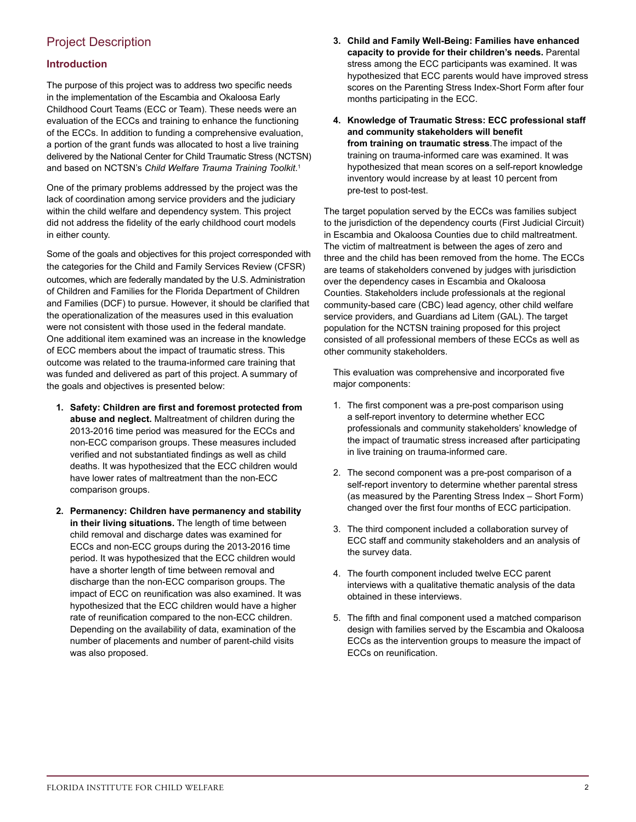# Project Description

# **Introduction**

The purpose of this project was to address two specific needs in the implementation of the Escambia and Okaloosa Early Childhood Court Teams (ECC or Team). These needs were an evaluation of the ECCs and training to enhance the functioning of the ECCs. In addition to funding a comprehensive evaluation, a portion of the grant funds was allocated to host a live training delivered by the National Center for Child Traumatic Stress (NCTSN) and based on NCTSN's *Child Welfare Trauma Training Toolkit*. 1

One of the primary problems addressed by the project was the lack of coordination among service providers and the judiciary within the child welfare and dependency system. This project did not address the fidelity of the early childhood court models in either county.

Some of the goals and objectives for this project corresponded with the categories for the Child and Family Services Review (CFSR) outcomes, which are federally mandated by the U.S. Administration of Children and Families for the Florida Department of Children and Families (DCF) to pursue. However, it should be clarified that the operationalization of the measures used in this evaluation were not consistent with those used in the federal mandate. One additional item examined was an increase in the knowledge of ECC members about the impact of traumatic stress. This outcome was related to the trauma-informed care training that was funded and delivered as part of this project. A summary of the goals and objectives is presented below:

- **1. Safety: Children are first and foremost protected from abuse and neglect.** Maltreatment of children during the 2013-2016 time period was measured for the ECCs and non-ECC comparison groups. These measures included verified and not substantiated findings as well as child deaths. It was hypothesized that the ECC children would have lower rates of maltreatment than the non-ECC comparison groups.
- **2. Permanency: Children have permanency and stability in their living situations.** The length of time between child removal and discharge dates was examined for ECCs and non-ECC groups during the 2013-2016 time period. It was hypothesized that the ECC children would have a shorter length of time between removal and discharge than the non-ECC comparison groups. The impact of ECC on reunification was also examined. It was hypothesized that the ECC children would have a higher rate of reunification compared to the non-ECC children. Depending on the availability of data, examination of the number of placements and number of parent-child visits was also proposed.
- **3. Child and Family Well-Being: Families have enhanced capacity to provide for their children's needs.** Parental stress among the ECC participants was examined. It was hypothesized that ECC parents would have improved stress scores on the Parenting Stress Index-Short Form after four months participating in the ECC.
- **4. Knowledge of Traumatic Stress: ECC professional staff and community stakeholders will benefit from training on traumatic stress**.The impact of the training on trauma-informed care was examined. It was hypothesized that mean scores on a self-report knowledge inventory would increase by at least 10 percent from pre-test to post-test.

The target population served by the ECCs was families subject to the jurisdiction of the dependency courts (First Judicial Circuit) in Escambia and Okaloosa Counties due to child maltreatment. The victim of maltreatment is between the ages of zero and three and the child has been removed from the home. The ECCs are teams of stakeholders convened by judges with jurisdiction over the dependency cases in Escambia and Okaloosa Counties. Stakeholders include professionals at the regional community-based care (CBC) lead agency, other child welfare service providers, and Guardians ad Litem (GAL). The target population for the NCTSN training proposed for this project consisted of all professional members of these ECCs as well as other community stakeholders.

This evaluation was comprehensive and incorporated five major components:

- 1. The first component was a pre-post comparison using a self-report inventory to determine whether ECC professionals and community stakeholders' knowledge of the impact of traumatic stress increased after participating in live training on trauma-informed care.
- 2. The second component was a pre-post comparison of a self-report inventory to determine whether parental stress (as measured by the Parenting Stress Index – Short Form) changed over the first four months of ECC participation.
- 3. The third component included a collaboration survey of ECC staff and community stakeholders and an analysis of the survey data.
- 4. The fourth component included twelve ECC parent interviews with a qualitative thematic analysis of the data obtained in these interviews.
- 5. The fifth and final component used a matched comparison design with families served by the Escambia and Okaloosa ECCs as the intervention groups to measure the impact of ECCs on reunification.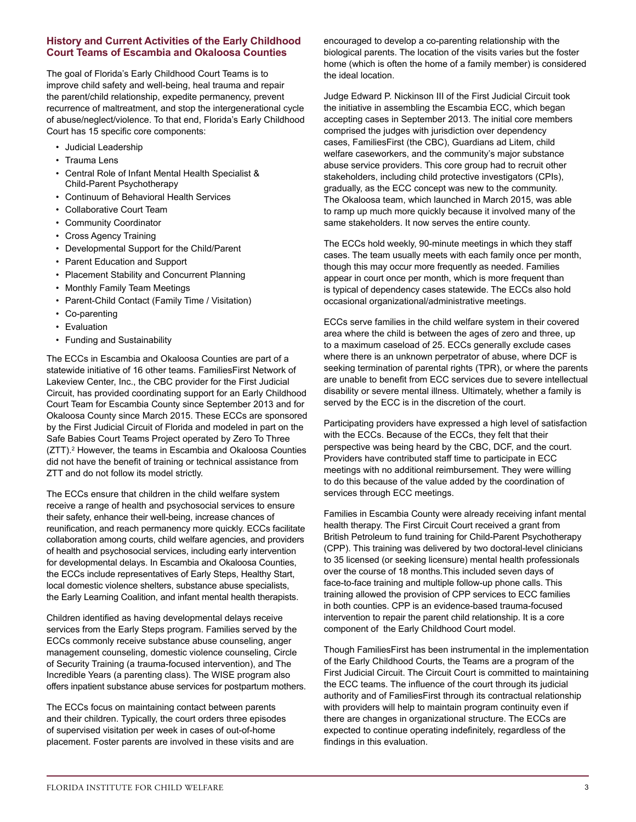# **History and Current Activities of the Early Childhood Court Teams of Escambia and Okaloosa Counties**

The goal of Florida's Early Childhood Court Teams is to improve child safety and well-being, heal trauma and repair the parent/child relationship, expedite permanency, prevent recurrence of maltreatment, and stop the intergenerational cycle of abuse/neglect/violence. To that end, Florida's Early Childhood Court has 15 specific core components:

- Judicial Leadership
- Trauma Lens
- Central Role of Infant Mental Health Specialist & Child-Parent Psychotherapy
- Continuum of Behavioral Health Services
- Collaborative Court Team
- Community Coordinator
- Cross Agency Training
- Developmental Support for the Child/Parent
- Parent Education and Support
- Placement Stability and Concurrent Planning
- Monthly Family Team Meetings
- Parent-Child Contact (Family Time / Visitation)
- Co-parenting
- Evaluation
- Funding and Sustainability

The ECCs in Escambia and Okaloosa Counties are part of a statewide initiative of 16 other teams. FamiliesFirst Network of Lakeview Center, Inc., the CBC provider for the First Judicial Circuit, has provided coordinating support for an Early Childhood Court Team for Escambia County since September 2013 and for Okaloosa County since March 2015. These ECCs are sponsored by the First Judicial Circuit of Florida and modeled in part on the Safe Babies Court Teams Project operated by Zero To Three (ZTT).<sup>2</sup> However, the teams in Escambia and Okaloosa Counties did not have the benefit of training or technical assistance from ZTT and do not follow its model strictly.

The ECCs ensure that children in the child welfare system receive a range of health and psychosocial services to ensure their safety, enhance their well-being, increase chances of reunification, and reach permanency more quickly. ECCs facilitate collaboration among courts, child welfare agencies, and providers of health and psychosocial services, including early intervention for developmental delays. In Escambia and Okaloosa Counties, the ECCs include representatives of Early Steps, Healthy Start, local domestic violence shelters, substance abuse specialists, the Early Learning Coalition, and infant mental health therapists.

Children identified as having developmental delays receive services from the Early Steps program. Families served by the ECCs commonly receive substance abuse counseling, anger management counseling, domestic violence counseling, Circle of Security Training (a trauma-focused intervention), and The Incredible Years (a parenting class). The WISE program also offers inpatient substance abuse services for postpartum mothers.

The ECCs focus on maintaining contact between parents and their children. Typically, the court orders three episodes of supervised visitation per week in cases of out-of-home placement. Foster parents are involved in these visits and are

encouraged to develop a co-parenting relationship with the biological parents. The location of the visits varies but the foster home (which is often the home of a family member) is considered the ideal location.

Judge Edward P. Nickinson III of the First Judicial Circuit took the initiative in assembling the Escambia ECC, which began accepting cases in September 2013. The initial core members comprised the judges with jurisdiction over dependency cases, FamiliesFirst (the CBC), Guardians ad Litem, child welfare caseworkers, and the community's major substance abuse service providers. This core group had to recruit other stakeholders, including child protective investigators (CPIs), gradually, as the ECC concept was new to the community. The Okaloosa team, which launched in March 2015, was able to ramp up much more quickly because it involved many of the same stakeholders. It now serves the entire county.

The ECCs hold weekly, 90-minute meetings in which they staff cases. The team usually meets with each family once per month, though this may occur more frequently as needed. Families appear in court once per month, which is more frequent than is typical of dependency cases statewide. The ECCs also hold occasional organizational/administrative meetings.

ECCs serve families in the child welfare system in their covered area where the child is between the ages of zero and three, up to a maximum caseload of 25. ECCs generally exclude cases where there is an unknown perpetrator of abuse, where DCF is seeking termination of parental rights (TPR), or where the parents are unable to benefit from ECC services due to severe intellectual disability or severe mental illness. Ultimately, whether a family is served by the ECC is in the discretion of the court.

Participating providers have expressed a high level of satisfaction with the ECCs. Because of the ECCs, they felt that their perspective was being heard by the CBC, DCF, and the court. Providers have contributed staff time to participate in ECC meetings with no additional reimbursement. They were willing to do this because of the value added by the coordination of services through ECC meetings.

Families in Escambia County were already receiving infant mental health therapy. The First Circuit Court received a grant from British Petroleum to fund training for Child-Parent Psychotherapy (CPP). This training was delivered by two doctoral-level clinicians to 35 licensed (or seeking licensure) mental health professionals over the course of 18 months.This included seven days of face-to-face training and multiple follow-up phone calls. This training allowed the provision of CPP services to ECC families in both counties. CPP is an evidence-based trauma-focused intervention to repair the parent child relationship. It is a core component of the Early Childhood Court model.

Though FamiliesFirst has been instrumental in the implementation of the Early Childhood Courts, the Teams are a program of the First Judicial Circuit. The Circuit Court is committed to maintaining the ECC teams. The influence of the court through its judicial authority and of FamiliesFirst through its contractual relationship with providers will help to maintain program continuity even if there are changes in organizational structure. The ECCs are expected to continue operating indefinitely, regardless of the findings in this evaluation.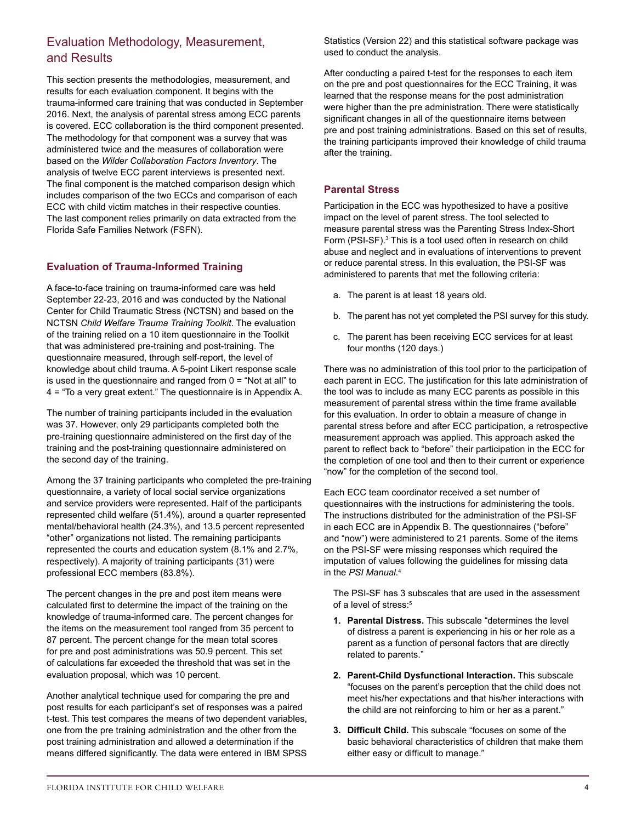# Evaluation Methodology, Measurement, and Results

This section presents the methodologies, measurement, and results for each evaluation component. It begins with the trauma-informed care training that was conducted in September 2016. Next, the analysis of parental stress among ECC parents is covered. ECC collaboration is the third component presented. The methodology for that component was a survey that was administered twice and the measures of collaboration were based on the *Wilder Collaboration Factors Inventory*. The analysis of twelve ECC parent interviews is presented next. The final component is the matched comparison design which includes comparison of the two ECCs and comparison of each ECC with child victim matches in their respective counties. The last component relies primarily on data extracted from the Florida Safe Families Network (FSFN).

# **Evaluation of Trauma-Informed Training**

A face-to-face training on trauma-informed care was held September 22-23, 2016 and was conducted by the National Center for Child Traumatic Stress (NCTSN) and based on the NCTSN *Child Welfare Trauma Training Toolkit*. The evaluation of the training relied on a 10 item questionnaire in the Toolkit that was administered pre-training and post-training. The questionnaire measured, through self-report, the level of knowledge about child trauma. A 5-point Likert response scale is used in the questionnaire and ranged from  $0 =$  "Not at all" to 4 = "To a very great extent." The questionnaire is in Appendix A.

The number of training participants included in the evaluation was 37. However, only 29 participants completed both the pre-training questionnaire administered on the first day of the training and the post-training questionnaire administered on the second day of the training.

Among the 37 training participants who completed the pre-training questionnaire, a variety of local social service organizations and service providers were represented. Half of the participants represented child welfare (51.4%), around a quarter represented mental/behavioral health (24.3%), and 13.5 percent represented "other" organizations not listed. The remaining participants represented the courts and education system (8.1% and 2.7%, respectively). A majority of training participants (31) were professional ECC members (83.8%).

The percent changes in the pre and post item means were calculated first to determine the impact of the training on the knowledge of trauma-informed care. The percent changes for the items on the measurement tool ranged from 35 percent to 87 percent. The percent change for the mean total scores for pre and post administrations was 50.9 percent. This set of calculations far exceeded the threshold that was set in the evaluation proposal, which was 10 percent.

Another analytical technique used for comparing the pre and post results for each participant's set of responses was a paired t-test. This test compares the means of two dependent variables, one from the pre training administration and the other from the post training administration and allowed a determination if the means differed significantly. The data were entered in IBM SPSS

Statistics (Version 22) and this statistical software package was used to conduct the analysis.

After conducting a paired t-test for the responses to each item on the pre and post questionnaires for the ECC Training, it was learned that the response means for the post administration were higher than the pre administration. There were statistically significant changes in all of the questionnaire items between pre and post training administrations. Based on this set of results, the training participants improved their knowledge of child trauma after the training.

# **Parental Stress**

Participation in the ECC was hypothesized to have a positive impact on the level of parent stress. The tool selected to measure parental stress was the Parenting Stress Index-Short Form (PSI-SF).<sup>3</sup> This is a tool used often in research on child abuse and neglect and in evaluations of interventions to prevent or reduce parental stress. In this evaluation, the PSI-SF was administered to parents that met the following criteria:

- a. The parent is at least 18 years old.
- b. The parent has not yet completed the PSI survey for this study.
- c. The parent has been receiving ECC services for at least four months (120 days.)

There was no administration of this tool prior to the participation of each parent in ECC. The justification for this late administration of the tool was to include as many ECC parents as possible in this measurement of parental stress within the time frame available for this evaluation. In order to obtain a measure of change in parental stress before and after ECC participation, a retrospective measurement approach was applied. This approach asked the parent to reflect back to "before" their participation in the ECC for the completion of one tool and then to their current or experience "now" for the completion of the second tool.

Each ECC team coordinator received a set number of questionnaires with the instructions for administering the tools. The instructions distributed for the administration of the PSI-SF in each ECC are in Appendix B. The questionnaires ("before" and "now") were administered to 21 parents. Some of the items on the PSI-SF were missing responses which required the imputation of values following the guidelines for missing data in the *PSI Manual*. 4

The PSI-SF has 3 subscales that are used in the assessment of a level of stress:<sup>5</sup>

- **1. Parental Distress.** This subscale "determines the level of distress a parent is experiencing in his or her role as a parent as a function of personal factors that are directly related to parents."
- **2. Parent-Child Dysfunctional Interaction.** This subscale "focuses on the parent's perception that the child does not meet his/her expectations and that his/her interactions with the child are not reinforcing to him or her as a parent."
- **3. Difficult Child.** This subscale "focuses on some of the basic behavioral characteristics of children that make them either easy or difficult to manage."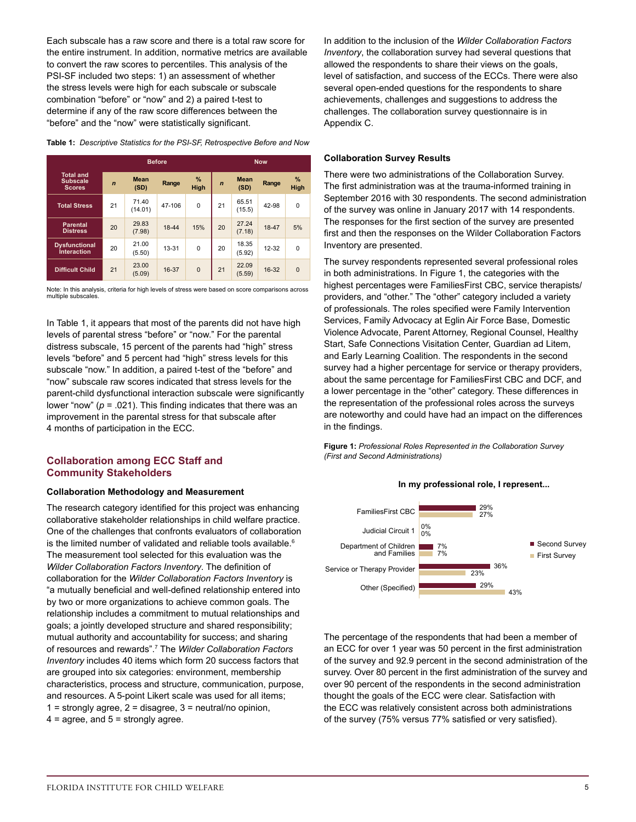Each subscale has a raw score and there is a total raw score for the entire instrument. In addition, normative metrics are available to convert the raw scores to percentiles. This analysis of the PSI-SF included two steps: 1) an assessment of whether the stress levels were high for each subscale or subscale combination "before" or "now" and 2) a paired t-test to determine if any of the raw score differences between the "before" and the "now" were statistically significant.

|                                                      | <b>Before</b> |                     |           |              |             |                     | <b>Now</b> |              |
|------------------------------------------------------|---------------|---------------------|-----------|--------------|-------------|---------------------|------------|--------------|
| <b>Total and</b><br><b>Subscale</b><br><b>Scores</b> | $\mathbf n$   | <b>Mean</b><br>(SD) | Range     | $\%$<br>High | $\mathbf n$ | <b>Mean</b><br>(SD) | Range      | $\%$<br>High |
| <b>Total Stress</b>                                  | 21            | 71.40<br>(14.01)    | 47-106    | $\Omega$     | 21          | 65.51<br>(15.5)     | 42-98      | $\Omega$     |
| <b>Parental</b><br><b>Distress</b>                   | 20            | 29.83<br>(7.98)     | 18-44     | 15%          | 20          | 27.24<br>(7.18)     | 18-47      | 5%           |
| <b>Dysfunctional</b><br><b>Interaction</b>           | 20            | 21.00<br>(5.50)     | $13 - 31$ | $\Omega$     | 20          | 18.35<br>(5.92)     | $12 - 32$  | $\Omega$     |
| <b>Difficult Child</b>                               | 21            | 23.00<br>(5.09)     | 16-37     | $\Omega$     | 21          | 22.09<br>(5.59)     | 16-32      | $\Omega$     |

**Table 1:** *Descriptive Statistics for the PSI-SF, Retrospective Before and Now*

Note: In this analysis, criteria for high levels of stress were based on score comparisons across multiple subscales.

In Table 1, it appears that most of the parents did not have high levels of parental stress "before" or "now." For the parental distress subscale, 15 percent of the parents had "high" stress levels "before" and 5 percent had "high" stress levels for this subscale "now." In addition, a paired t-test of the "before" and "now" subscale raw scores indicated that stress levels for the parent-child dysfunctional interaction subscale were significantly lower "now" (*p* = .021). This finding indicates that there was an improvement in the parental stress for that subscale after 4 months of participation in the ECC.

# **Collaboration among ECC Staff and Community Stakeholders**

#### **Collaboration Methodology and Measurement**

The research category identified for this project was enhancing collaborative stakeholder relationships in child welfare practice. One of the challenges that confronts evaluators of collaboration is the limited number of validated and reliable tools available. $6$ The measurement tool selected for this evaluation was the *Wilder Collaboration Factors Inventory*. The definition of collaboration for the *Wilder Collaboration Factors Inventory* is "a mutually beneficial and well-defined relationship entered into by two or more organizations to achieve common goals. The relationship includes a commitment to mutual relationships and goals; a jointly developed structure and shared responsibility; mutual authority and accountability for success; and sharing of resources and rewards".7 The *Wilder Collaboration Factors Inventory* includes 40 items which form 20 success factors that are grouped into six categories: environment, membership characteristics, process and structure, communication, purpose, and resources. A 5-point Likert scale was used for all items;  $1 =$  strongly agree,  $2 =$  disagree,  $3 =$  neutral/no opinion,  $4 =$  agree, and  $5 =$  strongly agree.

In addition to the inclusion of the *Wilder Collaboration Factors Inventory*, the collaboration survey had several questions that allowed the respondents to share their views on the goals, level of satisfaction, and success of the ECCs. There were also several open-ended questions for the respondents to share achievements, challenges and suggestions to address the challenges. The collaboration survey questionnaire is in Appendix C.

#### **Collaboration Survey Results**

There were two administrations of the Collaboration Survey. The first administration was at the trauma-informed training in September 2016 with 30 respondents. The second administration of the survey was online in January 2017 with 14 respondents. The responses for the first section of the survey are presented first and then the responses on the Wilder Collaboration Factors Inventory are presented.

The survey respondents represented several professional roles in both administrations. In Figure 1, the categories with the highest percentages were FamiliesFirst CBC, service therapists/ providers, and "other." The "other" category included a variety of professionals. The roles specified were Family Intervention Services, Family Advocacy at Eglin Air Force Base, Domestic Violence Advocate, Parent Attorney, Regional Counsel, Healthy Start, Safe Connections Visitation Center, Guardian ad Litem, and Early Learning Coalition. The respondents in the second survey had a higher percentage for service or therapy providers, about the same percentage for FamiliesFirst CBC and DCF, and a lower percentage in the "other" category. These differences in the representation of the professional roles across the surveys are noteworthy and could have had an impact on the differences in the findings.

**Figure 1:** *Professional Roles Represented in the Collaboration Survey (First and Second Administrations)*



**In my professional role, I represent...**

The percentage of the respondents that had been a member of an ECC for over 1 year was 50 percent in the first administration of the survey and 92.9 percent in the second administration of the survey. Over 80 percent in the first administration of the survey and over 90 percent of the respondents in the second administration thought the goals of the ECC were clear. Satisfaction with the ECC was relatively consistent across both administrations of the survey (75% versus 77% satisfied or very satisfied).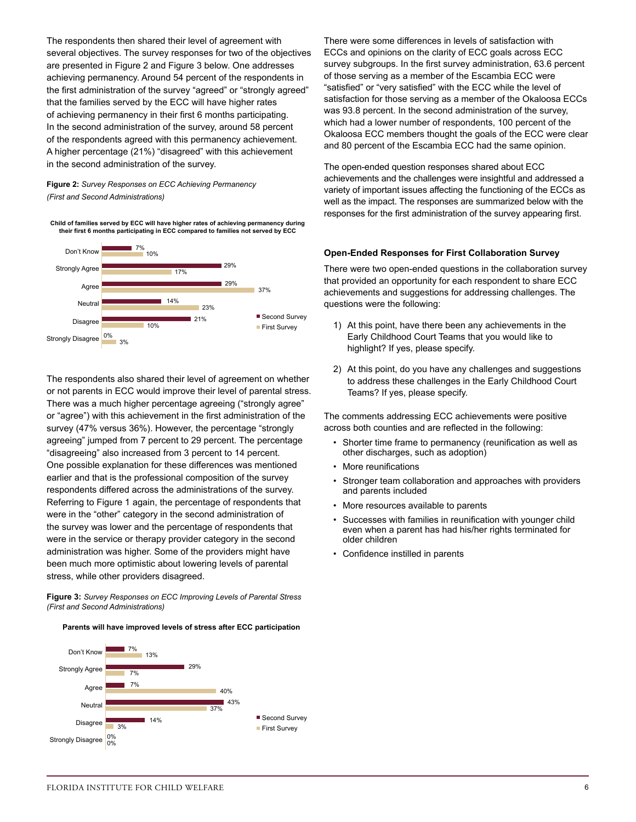The respondents then shared their level of agreement with several objectives. The survey responses for two of the objectives are presented in Figure 2 and Figure 3 below. One addresses achieving permanency. Around 54 percent of the respondents in the first administration of the survey "agreed" or "strongly agreed" that the families served by the ECC will have higher rates of achieving permanency in their first 6 months participating. In the second administration of the survey, around 58 percent of the respondents agreed with this permanency achievement. A higher percentage (21%) "disagreed" with this achievement in the second administration of the survey.

### **Figure 2:** *Survey Responses on ECC Achieving Permanency (First and Second Administrations)*

**Child of families served by ECC will have higher rates of achieving permanency during their first 6 months participating in ECC compared to families not served by ECC**



The respondents also shared their level of agreement on whether or not parents in ECC would improve their level of parental stress. There was a much higher percentage agreeing ("strongly agree" or "agree") with this achievement in the first administration of the survey (47% versus 36%). However, the percentage "strongly agreeing" jumped from 7 percent to 29 percent. The percentage "disagreeing" also increased from 3 percent to 14 percent. One possible explanation for these differences was mentioned earlier and that is the professional composition of the survey respondents differed across the administrations of the survey. Referring to Figure 1 again, the percentage of respondents that were in the "other" category in the second administration of the survey was lower and the percentage of respondents that were in the service or therapy provider category in the second administration was higher. Some of the providers might have been much more optimistic about lowering levels of parental stress, while other providers disagreed.

**Figure 3:** *Survey Responses on ECC Improving Levels of Parental Stress (First and Second Administrations)*

**Parents will have improved levels of stress after ECC participation**



There were some differences in levels of satisfaction with ECCs and opinions on the clarity of ECC goals across ECC survey subgroups. In the first survey administration, 63.6 percent of those serving as a member of the Escambia ECC were "satisfied" or "very satisfied" with the ECC while the level of satisfaction for those serving as a member of the Okaloosa ECCs was 93.8 percent. In the second administration of the survey, which had a lower number of respondents, 100 percent of the Okaloosa ECC members thought the goals of the ECC were clear and 80 percent of the Escambia ECC had the same opinion.

The open-ended question responses shared about ECC achievements and the challenges were insightful and addressed a variety of important issues affecting the functioning of the ECCs as well as the impact. The responses are summarized below with the responses for the first administration of the survey appearing first.

#### **Open-Ended Responses for First Collaboration Survey**

There were two open-ended questions in the collaboration survey that provided an opportunity for each respondent to share ECC achievements and suggestions for addressing challenges. The questions were the following:

- 1) At this point, have there been any achievements in the Early Childhood Court Teams that you would like to highlight? If yes, please specify.
- 2) At this point, do you have any challenges and suggestions to address these challenges in the Early Childhood Court Teams? If yes, please specify.

The comments addressing ECC achievements were positive across both counties and are reflected in the following:

- Shorter time frame to permanency (reunification as well as other discharges, such as adoption)
- More reunifications
- Stronger team collaboration and approaches with providers and parents included
- More resources available to parents
- Successes with families in reunification with younger child even when a parent has had his/her rights terminated for older children
- Confidence instilled in parents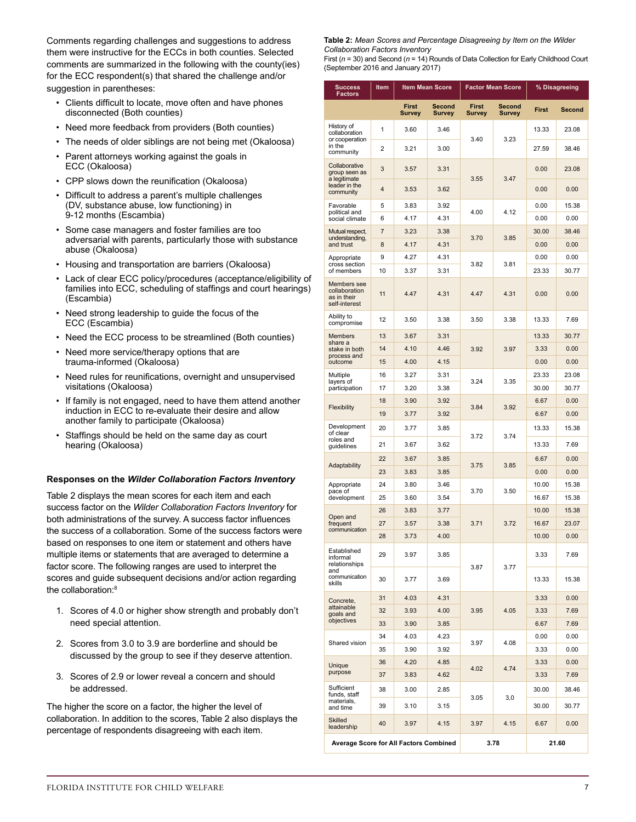Comments regarding challenges and suggestions to address them were instructive for the ECCs in both counties. Selected comments are summarized in the following with the county(ies) for the ECC respondent(s) that shared the challenge and/or suggestion in parentheses:

- Clients difficult to locate, move often and have phones disconnected (Both counties)
- Need more feedback from providers (Both counties)
- The needs of older siblings are not being met (Okaloosa)
- Parent attorneys working against the goals in ECC (Okaloosa)
- CPP slows down the reunification (Okaloosa)
- Difficult to address a parent's multiple challenges (DV, substance abuse, low functioning) in 9-12 months (Escambia)
- Some case managers and foster families are too adversarial with parents, particularly those with substance abuse (Okaloosa)
- Housing and transportation are barriers (Okaloosa)
- Lack of clear ECC policy/procedures (acceptance/eligibility of families into ECC, scheduling of staffings and court hearings) (Escambia)
- Need strong leadership to guide the focus of the ECC (Escambia)
- Need the ECC process to be streamlined (Both counties)
- Need more service/therapy options that are trauma-informed (Okaloosa)
- Need rules for reunifications, overnight and unsupervised visitations (Okaloosa)
- If family is not engaged, need to have them attend another induction in ECC to re-evaluate their desire and allow another family to participate (Okaloosa)
- Staffings should be held on the same day as court hearing (Okaloosa)

# **Responses on the** *Wilder Collaboration Factors Inventory*

Table 2 displays the mean scores for each item and each success factor on the *Wilder Collaboration Factors Inventory* for both administrations of the survey. A success factor influences the success of a collaboration. Some of the success factors were based on responses to one item or statement and others have multiple items or statements that are averaged to determine a factor score. The following ranges are used to interpret the scores and guide subsequent decisions and/or action regarding the collaboration:<sup>8</sup>

- 1. Scores of 4.0 or higher show strength and probably don't need special attention.
- 2. Scores from 3.0 to 3.9 are borderline and should be discussed by the group to see if they deserve attention.
- 3. Scores of 2.9 or lower reveal a concern and should be addressed.

The higher the score on a factor, the higher the level of collaboration. In addition to the scores, Table 2 also displays the percentage of respondents disagreeing with each item.

**Table 2:** *Mean Scores and Percentage Disagreeing by Item on the Wilder Collaboration Factors Inventory* 

First (*n* = 30) and Second (*n* = 14) Rounds of Data Collection for Early Childhood Court (September 2016 and January 2017)

| <b>Success</b><br><b>Factors</b>                             | Item           |        | <b>Item Mean Score</b> | <b>Factor Mean Score</b> |               | % Disagreeing |        |
|--------------------------------------------------------------|----------------|--------|------------------------|--------------------------|---------------|---------------|--------|
|                                                              |                | First  | Second                 | <b>First</b>             | Second        | <b>First</b>  | Second |
| History of                                                   |                | Survey | <b>Survey</b>          | <b>Survey</b>            | <b>Survey</b> |               |        |
| collaboration<br>or cooperation                              | 1              | 3.60   | 3.46                   | 3.40                     | 3.23          | 13.33         | 23.08  |
| in the<br>community                                          | 2              | 3.21   | 3.00                   |                          |               | 27.59         | 38.46  |
| Collaborative<br>group seen as                               | 3              | 3.57   | 3.31                   | 3.55                     | 3.47          | 0.00          | 23.08  |
| a legitimate<br>leader in the<br>community                   | 4              | 3.53   | 3.62                   |                          |               | 0.00          | 0.00   |
| Favorable<br>political and                                   | 5              | 3.83   | 3.92                   | 4.00                     | 4.12          | 0.00          | 15.38  |
| social climate                                               | 6              | 4.17   | 4.31                   |                          |               | 0.00          | 0.00   |
| Mutual respect,<br>understanding,                            | $\overline{7}$ | 3.23   | 3.38                   | 3.70                     | 3.85          | 30.00         | 38.46  |
| and trust                                                    | 8              | 4.17   | 4.31                   |                          |               | 0.00          | 0.00   |
| Appropriate<br>cross section                                 | 9              | 4.27   | 4.31                   | 3.82                     | 3.81          | 0.00          | 0.00   |
| of members                                                   | 10             | 3.37   | 3.31                   |                          |               | 23.33         | 30.77  |
| Members see<br>collaboration<br>as in their<br>self-interest | 11             | 4.47   | 4.31                   | 4.47                     | 4.31          | 0.00          | 0.00   |
| Ability to<br>compromise                                     | 12             | 3.50   | 3.38                   | 3.50                     | 3.38          | 13.33         | 7.69   |
| <b>Members</b><br>share a                                    | 13             | 3.67   | 3.31                   |                          |               | 13.33         | 30.77  |
| stake in both<br>process and                                 | 14             | 4.10   | 4.46                   | 3.92                     | 3.97          | 3.33          | 0.00   |
| outcome                                                      | 15             | 4.00   | 4.15                   |                          |               | 0.00          | 0.00   |
| Multiple<br>layers of                                        | 16             | 3.27   | 3.31                   | 3.24                     | 3.35          | 23.33         | 23.08  |
| participation                                                | 17             | 3.20   | 3.38                   |                          |               | 30.00         | 30.77  |
| Flexibility                                                  | 18             | 3.90   | 3.92                   | 3.84                     | 3.92          | 6.67          | 0.00   |
|                                                              | 19             | 3.77   | 3.92                   |                          |               | 6.67          | 0.00   |
| Development<br>of clear<br>roles and                         | 20             | 3.77   | 3.85                   | 3.72                     | 3.74          | 13.33         | 15.38  |
| guidelines                                                   | 21             | 3.67   | 3.62                   |                          |               | 13.33         | 7.69   |
| Adaptability                                                 | 22             | 3.67   | 3.85                   | 3.75                     | 3.85          | 6.67          | 0.00   |
|                                                              | 23             | 3.83   | 3.85                   |                          |               | 0.00          | 0.00   |
| Appropriate<br>pace of                                       | 24             | 3.80   | 3.46                   | 3.70                     | 3.50          | 10.00         | 15.38  |
| development                                                  | 25             | 3.60   | 3.54                   |                          |               | 16.67         | 15.38  |
| Open and                                                     | 26             | 3.83   | 3.77                   |                          |               | 10.00         | 15.38  |
| frequent<br>communication                                    | 27             | 3.57   | 3.38                   | 3.71                     | 3.72          | 16.67         | 23.07  |
|                                                              | 28             | 3.73   | 4.00                   |                          |               | 10.00         | 0.00   |
| Established<br>informal<br>relationships<br>and              | 29             | 3.97   | 3.85                   | 3.87                     | 3.77          | 3.33          | 7.69   |
| communication<br>skills                                      | 30             | 3.77   | 3.69                   |                          |               | 13.33         | 15.38  |
| Concrete,                                                    | 31             | 4.03   | 4.31                   |                          |               | 3.33          | 0.00   |
| attainable<br>goals and                                      | 32             | 3.93   | 4.00                   | 3.95                     | 4.05          | 3.33          | 7.69   |
| objectives                                                   | 33             | 3.90   | 3.85                   |                          |               | 6.67          | 7.69   |
| Shared vision                                                | 34             | 4.03   | 4.23                   | 3.97                     | 4.08          | 0.00          | 0.00   |
|                                                              | 35             | 3.90   | 3.92                   |                          |               | 3.33          | 0.00   |
| Unique                                                       | 36             | 4.20   | 4.85                   | 4.02                     | 4.74          | 3.33          | 0.00   |
| purpose                                                      | 37             | 3.83   | 4.62                   |                          |               | 3.33          | 7.69   |
| Sufficient<br>funds, staff<br>materials,                     | 38             | 3.00   | 2.85                   | 3.05                     | 3,0           | 30.00         | 38.46  |
| and time                                                     | 39             | 3.10   | 3.15                   |                          |               | 30.00         | 30.77  |
| <b>Skilled</b><br>leadership                                 | 40             | 3.97   | 4.15                   | 3.97                     | 4.15          | 6.67          | 0.00   |
| <b>Average Score for All Factors Combined</b>                |                |        |                        | 3.78                     |               |               | 21.60  |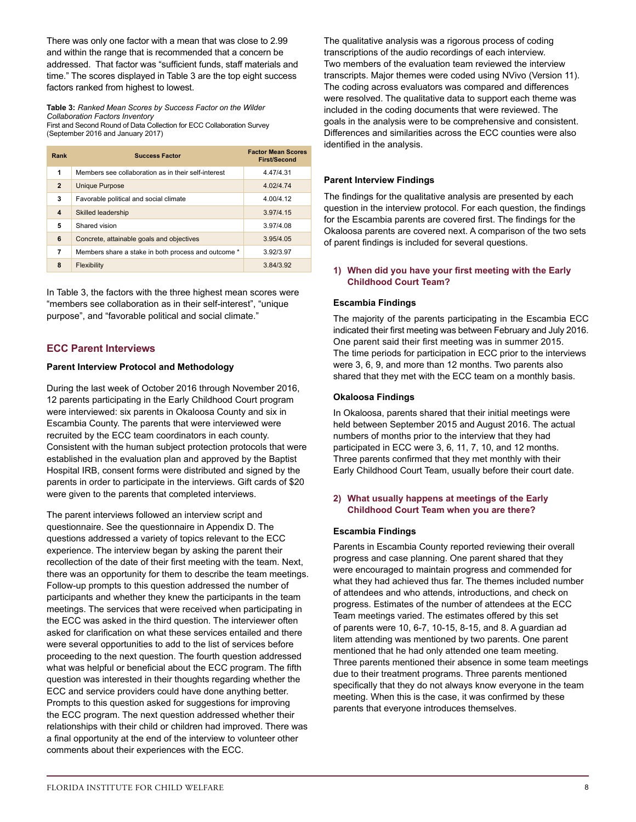There was only one factor with a mean that was close to 2.99 and within the range that is recommended that a concern be addressed. That factor was "sufficient funds, staff materials and time." The scores displayed in Table 3 are the top eight success factors ranked from highest to lowest.

**Table 3:** *Ranked Mean Scores by Success Factor on the Wilder Collaboration Factors Inventory*  First and Second Round of Data Collection for ECC Collaboration Survey (September 2016 and January 2017)

| Rank                    | <b>Success Factor</b>                               | <b>Factor Mean Scores</b><br><b>First/Second</b> |
|-------------------------|-----------------------------------------------------|--------------------------------------------------|
| 1                       | Members see collaboration as in their self-interest | 4.47/4.31                                        |
| $\overline{2}$          | <b>Unique Purpose</b>                               | 4.02/4.74                                        |
| 3                       | Favorable political and social climate              | 4.00/4.12                                        |
| $\overline{\mathbf{4}}$ | <b>Skilled leadership</b>                           | 3.97/4.15                                        |
| 5                       | Shared vision                                       | 3.97/4.08                                        |
| 6                       | Concrete, attainable goals and objectives           | 3.95/4.05                                        |
| 7                       | Members share a stake in both process and outcome * | 3.92/3.97                                        |
| 8                       | Flexibility                                         | 3.84/3.92                                        |

In Table 3, the factors with the three highest mean scores were "members see collaboration as in their self-interest", "unique purpose", and "favorable political and social climate."

# **ECC Parent Interviews**

#### **Parent Interview Protocol and Methodology**

During the last week of October 2016 through November 2016, 12 parents participating in the Early Childhood Court program were interviewed: six parents in Okaloosa County and six in Escambia County. The parents that were interviewed were recruited by the ECC team coordinators in each county. Consistent with the human subject protection protocols that were established in the evaluation plan and approved by the Baptist Hospital IRB, consent forms were distributed and signed by the parents in order to participate in the interviews. Gift cards of \$20 were given to the parents that completed interviews.

The parent interviews followed an interview script and questionnaire. See the questionnaire in Appendix D. The questions addressed a variety of topics relevant to the ECC experience. The interview began by asking the parent their recollection of the date of their first meeting with the team. Next, there was an opportunity for them to describe the team meetings. Follow-up prompts to this question addressed the number of participants and whether they knew the participants in the team meetings. The services that were received when participating in the ECC was asked in the third question. The interviewer often asked for clarification on what these services entailed and there were several opportunities to add to the list of services before proceeding to the next question. The fourth question addressed what was helpful or beneficial about the ECC program. The fifth question was interested in their thoughts regarding whether the ECC and service providers could have done anything better. Prompts to this question asked for suggestions for improving the ECC program. The next question addressed whether their relationships with their child or children had improved. There was a final opportunity at the end of the interview to volunteer other comments about their experiences with the ECC.

The qualitative analysis was a rigorous process of coding transcriptions of the audio recordings of each interview. Two members of the evaluation team reviewed the interview transcripts. Major themes were coded using NVivo (Version 11). The coding across evaluators was compared and differences were resolved. The qualitative data to support each theme was included in the coding documents that were reviewed. The goals in the analysis were to be comprehensive and consistent. Differences and similarities across the ECC counties were also identified in the analysis.

#### **Parent Interview Findings**

The findings for the qualitative analysis are presented by each question in the interview protocol. For each question, the findings for the Escambia parents are covered first. The findings for the Okaloosa parents are covered next. A comparison of the two sets of parent findings is included for several questions.

# **1) When did you have your first meeting with the Early Childhood Court Team?**

#### **Escambia Findings**

The majority of the parents participating in the Escambia ECC indicated their first meeting was between February and July 2016. One parent said their first meeting was in summer 2015. The time periods for participation in ECC prior to the interviews were 3, 6, 9, and more than 12 months. Two parents also shared that they met with the ECC team on a monthly basis.

#### **Okaloosa Findings**

In Okaloosa, parents shared that their initial meetings were held between September 2015 and August 2016. The actual numbers of months prior to the interview that they had participated in ECC were 3, 6, 11, 7, 10, and 12 months. Three parents confirmed that they met monthly with their Early Childhood Court Team, usually before their court date.

# **2) What usually happens at meetings of the Early Childhood Court Team when you are there?**

#### **Escambia Findings**

Parents in Escambia County reported reviewing their overall progress and case planning. One parent shared that they were encouraged to maintain progress and commended for what they had achieved thus far. The themes included number of attendees and who attends, introductions, and check on progress. Estimates of the number of attendees at the ECC Team meetings varied. The estimates offered by this set of parents were 10, 6-7, 10-15, 8-15, and 8. A guardian ad litem attending was mentioned by two parents. One parent mentioned that he had only attended one team meeting. Three parents mentioned their absence in some team meetings due to their treatment programs. Three parents mentioned specifically that they do not always know everyone in the team meeting. When this is the case, it was confirmed by these parents that everyone introduces themselves.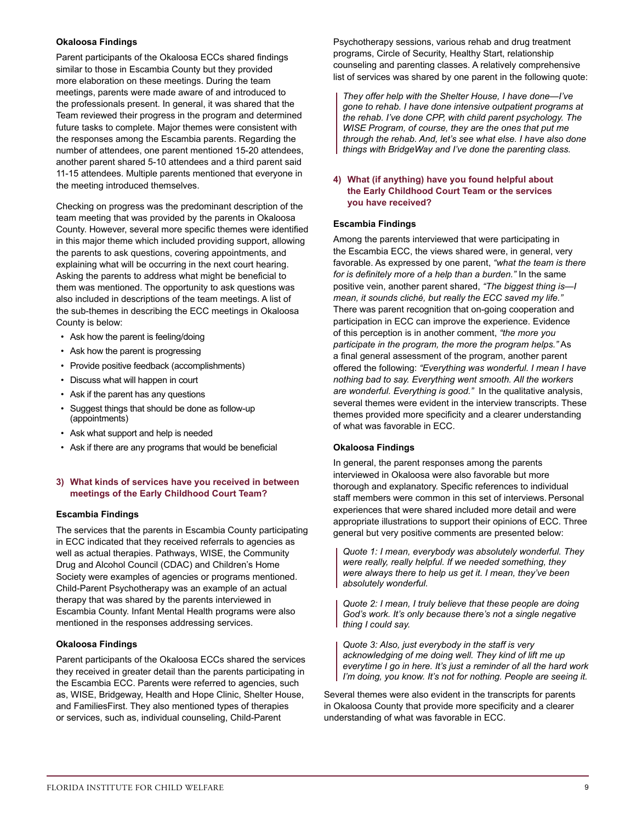# **Okaloosa Findings**

Parent participants of the Okaloosa ECCs shared findings similar to those in Escambia County but they provided more elaboration on these meetings. During the team meetings, parents were made aware of and introduced to the professionals present. In general, it was shared that the Team reviewed their progress in the program and determined future tasks to complete. Major themes were consistent with the responses among the Escambia parents. Regarding the number of attendees, one parent mentioned 15-20 attendees, another parent shared 5-10 attendees and a third parent said 11-15 attendees. Multiple parents mentioned that everyone in the meeting introduced themselves.

Checking on progress was the predominant description of the team meeting that was provided by the parents in Okaloosa County. However, several more specific themes were identified in this major theme which included providing support, allowing the parents to ask questions, covering appointments, and explaining what will be occurring in the next court hearing. Asking the parents to address what might be beneficial to them was mentioned. The opportunity to ask questions was also included in descriptions of the team meetings. A list of the sub-themes in describing the ECC meetings in Okaloosa County is below:

- Ask how the parent is feeling/doing
- Ask how the parent is progressing
- Provide positive feedback (accomplishments)
- Discuss what will happen in court
- Ask if the parent has any questions
- Suggest things that should be done as follow-up (appointments)
- Ask what support and help is needed
- Ask if there are any programs that would be beneficial

#### **3) What kinds of services have you received in between meetings of the Early Childhood Court Team?**

#### **Escambia Findings**

The services that the parents in Escambia County participating in ECC indicated that they received referrals to agencies as well as actual therapies. Pathways, WISE, the Community Drug and Alcohol Council (CDAC) and Children's Home Society were examples of agencies or programs mentioned. Child-Parent Psychotherapy was an example of an actual therapy that was shared by the parents interviewed in Escambia County. Infant Mental Health programs were also mentioned in the responses addressing services.

#### **Okaloosa Findings**

Parent participants of the Okaloosa ECCs shared the services they received in greater detail than the parents participating in the Escambia ECC. Parents were referred to agencies, such as, WISE, Bridgeway, Health and Hope Clinic, Shelter House, and FamiliesFirst. They also mentioned types of therapies or services, such as, individual counseling, Child-Parent

Psychotherapy sessions, various rehab and drug treatment programs, Circle of Security, Healthy Start, relationship counseling and parenting classes. A relatively comprehensive list of services was shared by one parent in the following quote:

*They offer help with the Shelter House, I have done—I've gone to rehab. I have done intensive outpatient programs at the rehab. I've done CPP, with child parent psychology. The WISE Program, of course, they are the ones that put me through the rehab. And, let's see what else. I have also done things with BridgeWay and I've done the parenting class.*

# **4) What (if anything) have you found helpful about the Early Childhood Court Team or the services you have received?**

#### **Escambia Findings**

Among the parents interviewed that were participating in the Escambia ECC, the views shared were, in general, very favorable. As expressed by one parent, *"what the team is there for is definitely more of a help than a burden."* In the same positive vein, another parent shared, *"The biggest thing is—I mean, it sounds cliché, but really the ECC saved my life."* There was parent recognition that on-going cooperation and participation in ECC can improve the experience. Evidence of this perception is in another comment, *"the more you participate in the program, the more the program helps."* As a final general assessment of the program, another parent offered the following: *"Everything was wonderful. I mean I have nothing bad to say. Everything went smooth. All the workers are wonderful. Everything is good."* In the qualitative analysis, several themes were evident in the interview transcripts. These themes provided more specificity and a clearer understanding of what was favorable in ECC.

#### **Okaloosa Findings**

In general, the parent responses among the parents interviewed in Okaloosa were also favorable but more thorough and explanatory. Specific references to individual staff members were common in this set of interviews. Personal experiences that were shared included more detail and were appropriate illustrations to support their opinions of ECC. Three general but very positive comments are presented below:

*Quote 1: I mean, everybody was absolutely wonderful. They were really, really helpful. If we needed something, they were always there to help us get it. I mean, they've been absolutely wonderful.*

*Quote 2: I mean, I truly believe that these people are doing God's work. It's only because there's not a single negative thing I could say.*

*Quote 3: Also, just everybody in the staff is very acknowledging of me doing well. They kind of lift me up everytime I go in here. It's just a reminder of all the hard work I'm doing, you know. It's not for nothing. People are seeing it.* 

Several themes were also evident in the transcripts for parents in Okaloosa County that provide more specificity and a clearer understanding of what was favorable in ECC.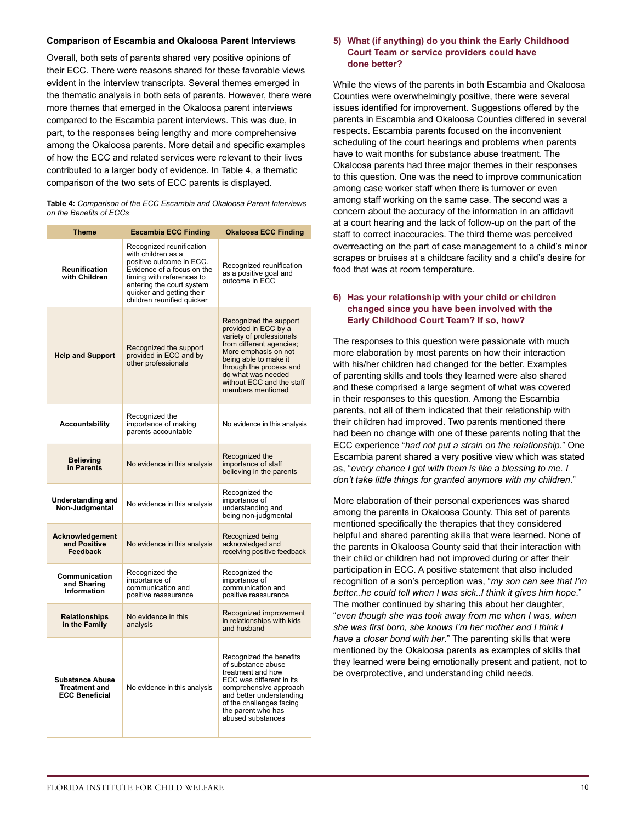# **Comparison of Escambia and Okaloosa Parent Interviews**

Overall, both sets of parents shared very positive opinions of their ECC. There were reasons shared for these favorable views evident in the interview transcripts. Several themes emerged in the thematic analysis in both sets of parents. However, there were more themes that emerged in the Okaloosa parent interviews compared to the Escambia parent interviews. This was due, in part, to the responses being lengthy and more comprehensive among the Okaloosa parents. More detail and specific examples of how the ECC and related services were relevant to their lives contributed to a larger body of evidence. In Table 4, a thematic comparison of the two sets of ECC parents is displayed.

**Table 4:** *Comparison of the ECC Escambia and Okaloosa Parent Interviews on the Benefits of ECCs*

| <b>Theme</b>                                                            | <b>Escambia ECC Finding</b>                                                                                                                                                                                                   | <b>Okaloosa ECC Finding</b>                                                                                                                                                                                                                                |
|-------------------------------------------------------------------------|-------------------------------------------------------------------------------------------------------------------------------------------------------------------------------------------------------------------------------|------------------------------------------------------------------------------------------------------------------------------------------------------------------------------------------------------------------------------------------------------------|
| Reunification<br>with Children                                          | Recognized reunification<br>with children as a<br>positive outcome in ECC.<br>Evidence of a focus on the<br>timing with references to<br>entering the court system<br>quicker and getting their<br>children reunified quicker | Recognized reunification<br>as a positive goal and<br>outcome in ECC                                                                                                                                                                                       |
| <b>Help and Support</b>                                                 | Recognized the support<br>provided in ECC and by<br>other professionals                                                                                                                                                       | Recognized the support<br>provided in ECC by a<br>variety of professionals<br>from different agencies;<br>More emphasis on not<br>being able to make it<br>through the process and<br>do what was needed<br>without ECC and the staff<br>members mentioned |
| <b>Accountability</b>                                                   | Recognized the<br>importance of making<br>parents accountable                                                                                                                                                                 | No evidence in this analysis                                                                                                                                                                                                                               |
| <b>Believing</b><br>No evidence in this analysis<br>in Parents          |                                                                                                                                                                                                                               | Recognized the<br>importance of staff<br>believing in the parents                                                                                                                                                                                          |
| <b>Understanding and</b><br>Non-Judgmental                              | No evidence in this analysis                                                                                                                                                                                                  | Recognized the<br>importance of<br>understanding and<br>being non-judgmental                                                                                                                                                                               |
| Acknowledgement<br>and Positive<br>Feedback                             | No evidence in this analysis                                                                                                                                                                                                  | Recognized being<br>acknowledged and<br>receiving positive feedback                                                                                                                                                                                        |
| Communication<br>and Sharing<br>Information                             | Recognized the<br>importance of<br>communication and<br>positive reassurance                                                                                                                                                  | Recognized the<br>importance of<br>communication and<br>positive reassurance                                                                                                                                                                               |
| <b>Relationships</b><br>in the Family                                   | No evidence in this<br>analysis                                                                                                                                                                                               | Recognized improvement<br>in relationships with kids<br>and husband                                                                                                                                                                                        |
| <b>Substance Abuse</b><br><b>Treatment and</b><br><b>ECC Beneficial</b> | No evidence in this analysis                                                                                                                                                                                                  | Recognized the benefits<br>of substance abuse<br>treatment and how<br>ECC was different in its<br>comprehensive approach<br>and better understanding<br>of the challenges facing<br>the parent who has<br>abused substances                                |

# **5) What (if anything) do you think the Early Childhood Court Team or service providers could have done better?**

While the views of the parents in both Escambia and Okaloosa Counties were overwhelmingly positive, there were several issues identified for improvement. Suggestions offered by the parents in Escambia and Okaloosa Counties differed in several respects. Escambia parents focused on the inconvenient scheduling of the court hearings and problems when parents have to wait months for substance abuse treatment. The Okaloosa parents had three major themes in their responses to this question. One was the need to improve communication among case worker staff when there is turnover or even among staff working on the same case. The second was a concern about the accuracy of the information in an affidavit at a court hearing and the lack of follow-up on the part of the staff to correct inaccuracies. The third theme was perceived overreacting on the part of case management to a child's minor scrapes or bruises at a childcare facility and a child's desire for food that was at room temperature.

# **6) Has your relationship with your child or children changed since you have been involved with the Early Childhood Court Team? If so, how?**

The responses to this question were passionate with much more elaboration by most parents on how their interaction with his/her children had changed for the better. Examples of parenting skills and tools they learned were also shared and these comprised a large segment of what was covered in their responses to this question. Among the Escambia parents, not all of them indicated that their relationship with their children had improved. Two parents mentioned there had been no change with one of these parents noting that the ECC experience "*had not put a strain on the relationship*." One Escambia parent shared a very positive view which was stated as, "*every chance I get with them is like a blessing to me. I don't take little things for granted anymore with my children*."

More elaboration of their personal experiences was shared among the parents in Okaloosa County. This set of parents mentioned specifically the therapies that they considered helpful and shared parenting skills that were learned. None of the parents in Okaloosa County said that their interaction with their child or children had not improved during or after their participation in ECC. A positive statement that also included recognition of a son's perception was, "*my son can see that I'm better..he could tell when I was sick..I think it gives him hope*." The mother continued by sharing this about her daughter, "*even though she was took away from me when I was, when she was first born, she knows I'm her mother and I think I have a closer bond with her*." The parenting skills that were mentioned by the Okaloosa parents as examples of skills that they learned were being emotionally present and patient, not to be overprotective, and understanding child needs.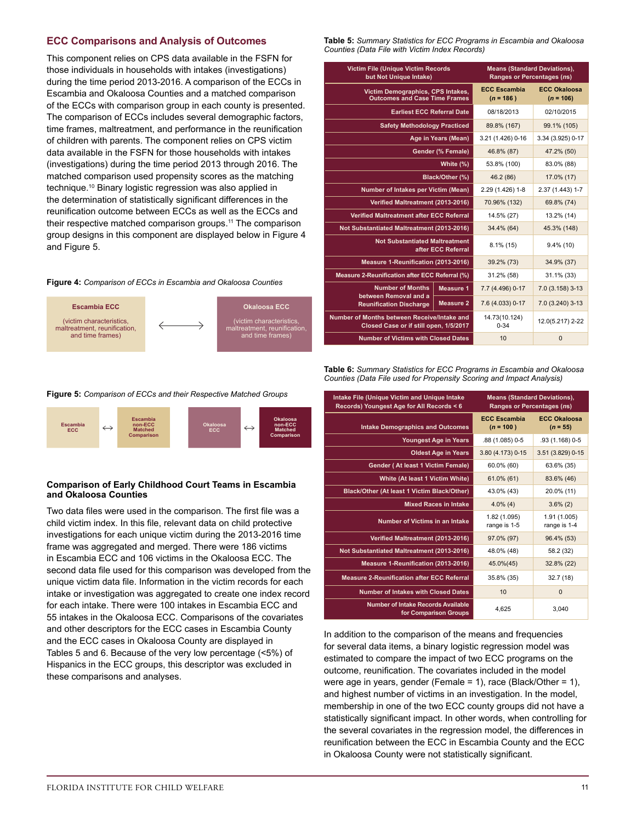# **ECC Comparisons and Analysis of Outcomes**

This component relies on CPS data available in the FSFN for those individuals in households with intakes (investigations) during the time period 2013-2016. A comparison of the ECCs in Escambia and Okaloosa Counties and a matched comparison of the ECCs with comparison group in each county is presented. The comparison of ECCs includes several demographic factors, time frames, maltreatment, and performance in the reunification of children with parents. The component relies on CPS victim data available in the FSFN for those households with intakes (investigations) during the time period 2013 through 2016. The matched comparison used propensity scores as the matching technique.10 Binary logistic regression was also applied in the determination of statistically significant differences in the reunification outcome between ECCs as well as the ECCs and their respective matched comparison groups.<sup>11</sup> The comparison group designs in this component are displayed below in Figure 4 and Figure 5.

#### **Figure 4:** *Comparison of ECCs in Escambia and Okaloosa Counties*



**Figure 5:** *Comparison of ECCs and their Respective Matched Groups*



#### **Comparison of Early Childhood Court Teams in Escambia and Okaloosa Counties**

Two data files were used in the comparison. The first file was a child victim index. In this file, relevant data on child protective investigations for each unique victim during the 2013-2016 time frame was aggregated and merged. There were 186 victims in Escambia ECC and 106 victims in the Okaloosa ECC. The second data file used for this comparison was developed from the unique victim data file. Information in the victim records for each intake or investigation was aggregated to create one index record for each intake. There were 100 intakes in Escambia ECC and 55 intakes in the Okaloosa ECC. Comparisons of the covariates and other descriptors for the ECC cases in Escambia County and the ECC cases in Okaloosa County are displayed in Tables 5 and 6. Because of the very low percentage (<5%) of Hispanics in the ECC groups, this descriptor was excluded in these comparisons and analyses.

**Table 5:** *Summary Statistics for ECC Programs in Escambia and Okaloosa Counties (Data File with Victim Index Records)*

| <b>Victim File (Unique Victim Records)</b><br>but Not Unique Intake)                                                | <b>Means (Standard Deviations),</b><br>Ranges or Percentages (ns) |                                    |                                    |  |
|---------------------------------------------------------------------------------------------------------------------|-------------------------------------------------------------------|------------------------------------|------------------------------------|--|
| Victim Demographics, CPS Intakes,<br><b>Outcomes and Case Time Frames</b>                                           |                                                                   | <b>ECC Escambia</b><br>$(n = 186)$ | <b>ECC Okaloosa</b><br>$(n = 106)$ |  |
| <b>Earliest ECC Referral Date</b>                                                                                   |                                                                   | 08/18/2013                         | 02/10/2015                         |  |
| <b>Safety Methodology Practiced</b>                                                                                 |                                                                   | 89.8% (167)                        | 99.1% (105)                        |  |
|                                                                                                                     | Age in Years (Mean)                                               | 3.21 (1.426) 0-16                  | 3.34 (3.925) 0-17                  |  |
|                                                                                                                     | Gender (% Female)                                                 | 46.8% (87)                         | 47.2% (50)                         |  |
|                                                                                                                     | White (%)                                                         | 53.8% (100)                        | 83.0% (88)                         |  |
| Black/Other (%)                                                                                                     | 46.2 (86)                                                         | 17.0% (17)                         |                                    |  |
| Number of Intakes per Victim (Mean)                                                                                 | 2.29 (1.426) 1-8                                                  | 2.37 (1.443) 1-7                   |                                    |  |
| Verified Maltreatment (2013-2016)                                                                                   | 70.96% (132)                                                      | 69.8% (74)                         |                                    |  |
| <b>Verified Maltreatment after ECC Referral</b>                                                                     | 14.5% (27)                                                        | 13.2% (14)                         |                                    |  |
| Not Substantiated Maltreatment (2013-2016)                                                                          |                                                                   | 34.4% (64)                         | 45.3% (148)                        |  |
| <b>Not Substantiated Maltreatment</b>                                                                               | after ECC Referral                                                | $8.1\%$ (15)                       | $9.4\%$ (10)                       |  |
| Measure 1-Reunification (2013-2016)                                                                                 |                                                                   | 39.2% (73)                         | 34.9% (37)                         |  |
| Measure 2-Reunification after ECC Referral (%)                                                                      |                                                                   | 31.2% (58)                         | 31.1% (33)                         |  |
| <b>Number of Months</b><br>Measure 1<br>between Removal and a<br><b>Measure 2</b><br><b>Reunification Discharge</b> |                                                                   | 7.7 (4.496) 0-17                   | 7.0 (3.158) 3-13                   |  |
|                                                                                                                     |                                                                   | 7.6 (4.033) 0-17                   | 7.0 (3.240) 3-13                   |  |
| Number of Months between Receive/Intake and<br>Closed Case or if still open, 1/5/2017                               |                                                                   | 14.73(10.124)<br>$0 - 34$          | 12.0(5.217) 2-22                   |  |
| <b>Number of Victims with Closed Dates</b>                                                                          | 10                                                                | $\Omega$                           |                                    |  |

**Table 6:** *Summary Statistics for ECC Programs in Escambia and Okaloosa Counties (Data File used for Propensity Scoring and Impact Analysis)*

| Intake File (Unique Victim and Unique Intake<br>Records) Youngest Age for All Records < 6 | <b>Means (Standard Deviations),</b><br><b>Ranges or Percentages (ns)</b> |                                   |  |
|-------------------------------------------------------------------------------------------|--------------------------------------------------------------------------|-----------------------------------|--|
| <b>Intake Demographics and Outcomes</b>                                                   | <b>FCC Escambia</b><br>$(n = 100)$                                       | <b>FCC Okaloosa</b><br>$(n = 55)$ |  |
| <b>Youngest Age in Years</b>                                                              | .88 (1.085) 0-5                                                          | .93 (1.168) 0-5                   |  |
| <b>Oldest Age in Years</b>                                                                | 3.80 (4.173) 0-15                                                        | 3.51 (3.829) 0-15                 |  |
| <b>Gender (At least 1 Victim Female)</b>                                                  | 60.0% (60)                                                               | 63.6% (35)                        |  |
| White (At least 1 Victim White)                                                           | 61.0% (61)                                                               | 83.6% (46)                        |  |
| Black/Other (At least 1 Victim Black/Other)                                               | 43.0% (43)                                                               | 20.0% (11)                        |  |
| <b>Mixed Races in Intake</b>                                                              | $4.0\%$ (4)                                                              | $3.6\%$ (2)                       |  |
| <b>Number of Victims in an Intake</b>                                                     | 1.82 (1.095)<br>range is 1-5                                             | 1.91 (1.005)<br>range is 1-4      |  |
| Verified Maltreatment (2013-2016)                                                         | 97.0% (97)                                                               | 96.4% (53)                        |  |
| Not Substantiated Maltreatment (2013-2016)                                                | 48.0% (48)                                                               | 58.2 (32)                         |  |
| Measure 1-Reunification (2013-2016)                                                       | 45.0%(45)                                                                | 32.8% (22)                        |  |
| <b>Measure 2-Reunification after ECC Referral</b>                                         | 35.8% (35)                                                               | 32.7(18)                          |  |
| <b>Number of Intakes with Closed Dates</b>                                                | 10                                                                       | $\mathbf{0}$                      |  |
| Number of Intake Records Available<br>for Comparison Groups                               | 4,625                                                                    | 3.040                             |  |

In addition to the comparison of the means and frequencies for several data items, a binary logistic regression model was estimated to compare the impact of two ECC programs on the outcome, reunification. The covariates included in the model were age in years, gender (Female = 1), race (Black/Other = 1), and highest number of victims in an investigation. In the model, membership in one of the two ECC county groups did not have a statistically significant impact. In other words, when controlling for the several covariates in the regression model, the differences in reunification between the ECC in Escambia County and the ECC in Okaloosa County were not statistically significant.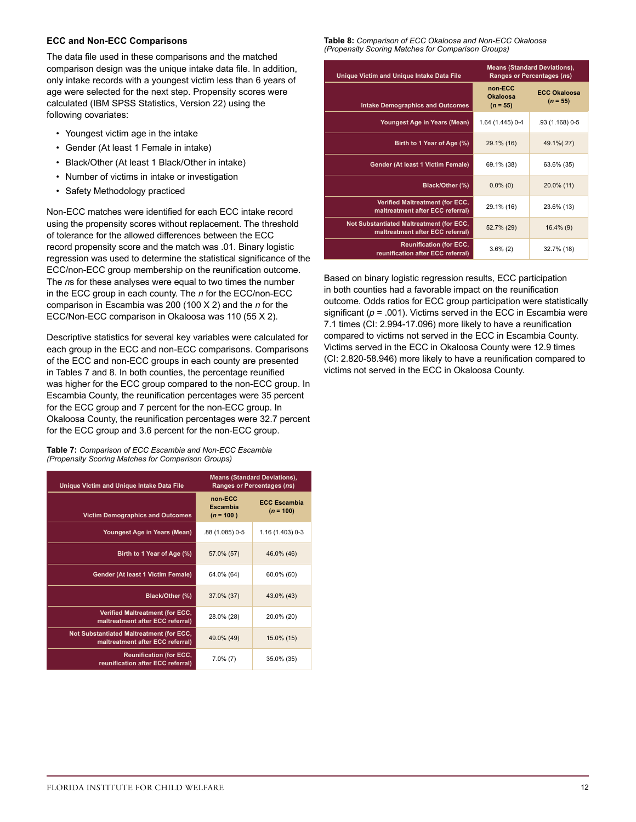# **ECC and Non-ECC Comparisons**

The data file used in these comparisons and the matched comparison design was the unique intake data file. In addition, only intake records with a youngest victim less than 6 years of age were selected for the next step. Propensity scores were calculated (IBM SPSS Statistics, Version 22) using the following covariates:

- Youngest victim age in the intake
- Gender (At least 1 Female in intake)
- Black/Other (At least 1 Black/Other in intake)
- Number of victims in intake or investigation
- Safety Methodology practiced

Non-ECC matches were identified for each ECC intake record using the propensity scores without replacement. The threshold of tolerance for the allowed differences between the ECC record propensity score and the match was .01. Binary logistic regression was used to determine the statistical significance of the ECC/non-ECC group membership on the reunification outcome. The *n*s for these analyses were equal to two times the number in the ECC group in each county. The *n* for the ECC/non-ECC comparison in Escambia was 200 (100 X 2) and the *n* for the ECC/Non-ECC comparison in Okaloosa was 110 (55 X 2).

Descriptive statistics for several key variables were calculated for each group in the ECC and non-ECC comparisons. Comparisons of the ECC and non-ECC groups in each county are presented in Tables 7 and 8. In both counties, the percentage reunified was higher for the ECC group compared to the non-ECC group. In Escambia County, the reunification percentages were 35 percent for the ECC group and 7 percent for the non-ECC group. In Okaloosa County, the reunification percentages were 32.7 percent for the ECC group and 3.6 percent for the non-ECC group.

**Table 7:** *Comparison of ECC Escambia and Non-ECC Escambia (Propensity Scoring Matches for Comparison Groups)*

| <b>Unique Victim and Unique Intake Data File</b>                             | <b>Means (Standard Deviations),</b><br>Ranges or Percentages (ns) |                                    |  |  |
|------------------------------------------------------------------------------|-------------------------------------------------------------------|------------------------------------|--|--|
| <b>Victim Demographics and Outcomes</b>                                      | non ECC<br>Escambia<br>$(n = 100)$                                | <b>ECC Escambia</b><br>$(n = 100)$ |  |  |
| Youngest Age in Years (Mean)                                                 | .88 (1.085) 0-5                                                   | 1.16 (1.403) 0-3                   |  |  |
| Birth to 1 Year of Age (%)                                                   | 57.0% (57)                                                        | 46.0% (46)                         |  |  |
| Gender (At least 1 Victim Female)                                            | 64.0% (64)                                                        | 60.0% (60)                         |  |  |
| Black/Other (%)                                                              | 37.0% (37)                                                        | 43.0% (43)                         |  |  |
| <b>Verified Maltreatment (for ECC,</b><br>maltreatment after ECC referral)   | 28.0% (28)                                                        | 20.0% (20)                         |  |  |
| Not Substantiated Maltreatment (for ECC,<br>maltreatment after ECC referral) | 49.0% (49)                                                        | 15.0% (15)                         |  |  |
| <b>Reunification (for ECC,</b><br>reunification after ECC referral)          | $7.0\%$ (7)                                                       | 35.0% (35)                         |  |  |

**Table 8:** *Comparison of ECC Okaloosa and Non-ECC Okaloosa (Propensity Scoring Matches for Comparison Groups)*

| Unique Victim and Unique Intake Data File                                    | <b>Means (Standard Deviations),</b><br>Ranges or Percentages (ns) |                                   |  |  |
|------------------------------------------------------------------------------|-------------------------------------------------------------------|-----------------------------------|--|--|
| <b>Intake Demographics and Outcomes</b>                                      | non ECC<br>Okaloosa<br>$(n = 55)$                                 | <b>ECC Okaloosa</b><br>$(n = 55)$ |  |  |
| Youngest Age in Years (Mean)                                                 | 1.64 (1.445) 0-4                                                  | .93 (1.168) 0-5                   |  |  |
| Birth to 1 Year of Age (%)                                                   | 29.1% (16)                                                        | 49.1% (27)                        |  |  |
| Gender (At least 1 Victim Female)                                            | 69.1% (38)                                                        | 63.6% (35)                        |  |  |
| Black/Other (%)                                                              | $0.0\%$ (0)                                                       | 20.0% (11)                        |  |  |
| Verified Maltreatment (for ECC,<br>maltreatment after ECC referral)          | 29.1% (16)                                                        | 23.6% (13)                        |  |  |
| Not Substantiated Maltreatment (for ECC,<br>maltreatment after ECC referral) | 52.7% (29)                                                        | $16.4\%$ (9)                      |  |  |
| <b>Reunification (for ECC,</b><br>reunification after ECC referral)          | $3.6\%$ (2)                                                       | 32.7% (18)                        |  |  |

Based on binary logistic regression results, ECC participation in both counties had a favorable impact on the reunification outcome. Odds ratios for ECC group participation were statistically significant  $(p = .001)$ . Victims served in the ECC in Escambia were 7.1 times (CI: 2.994-17.096) more likely to have a reunification compared to victims not served in the ECC in Escambia County. Victims served in the ECC in Okaloosa County were 12.9 times (CI: 2.820-58.946) more likely to have a reunification compared to victims not served in the ECC in Okaloosa County.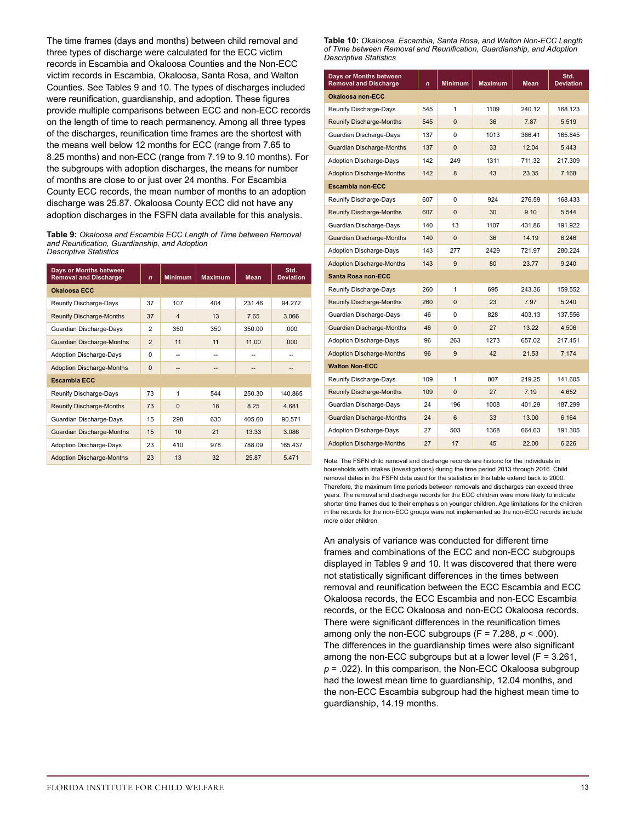The time frames (days and months) between child removal and three types of discharge were calculated for the ECC victim records in Escambia and Okaloosa Counties and the Non-ECC victim records in Escambia, Okaloosa, Santa Rosa, and Walton Counties. See Tables 9 and 10. The types of discharges included were reunification, guardianship, and adoption. These figures provide multiple comparisons between ECC and non-ECC records on the length of time to reach permanency. Among all three types of the discharges, reunification time frames are the shortest with the means well below 12 months for ECC (range from 7.65 to 8.25 months) and non-ECC (range from 7.19 to 9.10 months). For the subgroups with adoption discharges, the means for number of months are close to or just over 24 months. For Escambia County ECC records, the mean number of months to an adoption discharge was 25.87. Okaloosa County ECC did not have any adoption discharges in the FSFN data available for this analysis.

**Table 9:** *Okaloosa and Escambia ECC Length of Time between Removal and Reunification, Guardianship, and Adoption Descriptive Statistics*

| Days or Months between<br><b>Removal and Discharge</b> | $\mathbf n$    | <b>Minimum</b> | <b>Maximum</b> | <b>Mean</b> | Std.<br><b>Deviation</b> |
|--------------------------------------------------------|----------------|----------------|----------------|-------------|--------------------------|
| <b>Okaloosa ECC</b>                                    |                |                |                |             |                          |
| Reunify Discharge-Days                                 | 37             | 107            | 404            | 231.46      | 94.272                   |
| Reunify Discharge-Months                               | 37             | $\overline{4}$ | 13             | 7.65        | 3.066                    |
| Guardian Discharge-Days                                | $\overline{2}$ | 350            | 350            | 350.00      | .000                     |
| Guardian Discharge-Months                              | $\overline{2}$ | 11             | 11             | 11.00       | .000                     |
| <b>Adoption Discharge-Days</b>                         | $\Omega$       | --             | --             | --          |                          |
| <b>Adoption Discharge-Months</b>                       | $\Omega$       |                |                |             |                          |
| <b>Escambia ECC</b>                                    |                |                |                |             |                          |
| Reunify Discharge-Days                                 | 73             | 1              | 544            | 250.30      | 140.865                  |
| Reunify Discharge-Months                               | 73             | $\mathbf{0}$   | 18             | 8.25        | 4.681                    |
| Guardian Discharge-Days                                | 15             | 298            | 630            | 405.60      | 90.571                   |
| Guardian Discharge-Months                              | 15             | 10             | 21             | 13.33       | 3.086                    |
| <b>Adoption Discharge-Days</b>                         | 23             | 410            | 978            | 788.09      | 165.437                  |
| <b>Adoption Discharge-Months</b>                       | 23             | 13             | 32             | 25.87       | 5.471                    |

**Table 10:** *Okaloosa, Escambia, Santa Rosa, and Walton Non-ECC Length of Time between Removal and Reunification, Guardianship, and Adoption Descriptive Statistics*

| Days or Months between<br><b>Removal and Discharge</b> | $\mathbf{n}$ | Minimum      | <b>Maximum</b> | <b>Mean</b> | Std.<br><b>Deviation</b> |
|--------------------------------------------------------|--------------|--------------|----------------|-------------|--------------------------|
| <b>Okaloosa non-ECC</b>                                |              |              |                |             |                          |
| Reunify Discharge-Days                                 | 545          | $\mathbf{1}$ | 1109           | 240.12      | 168.123                  |
| Reunify Discharge-Months                               | 545          | $\Omega$     | 36             | 7.87        | 5.519                    |
| Guardian Discharge-Days                                | 137          | 0            | 1013           | 366.41      | 165.845                  |
| Guardian Discharge-Months                              | 137          | $\mathbf 0$  | 33             | 12.04       | 5.443                    |
| <b>Adoption Discharge-Days</b>                         | 142          | 249          | 1311           | 711.32      | 217.309                  |
| <b>Adoption Discharge-Months</b>                       | 142          | 8            | 43             | 23.35       | 7.168                    |
| <b>Escambia non-ECC</b>                                |              |              |                |             |                          |
| Reunify Discharge-Days                                 | 607          | 0            | 924            | 276.59      | 168.433                  |
| Reunify Discharge-Months                               | 607          | $\Omega$     | 30             | 9.10        | 5.544                    |
| Guardian Discharge-Days                                | 140          | 13           | 1107           | 431.86      | 191.922                  |
| Guardian Discharge-Months                              | 140          | $\Omega$     | 36             | 14.19       | 6.246                    |
| <b>Adoption Discharge-Days</b>                         | 143          | 277          | 2429           | 721.97      | 280.224                  |
| <b>Adoption Discharge-Months</b>                       | 143          | 9            | 80             | 23.77       | 9.240                    |
| <b>Santa Rosa non-ECC</b>                              |              |              |                |             |                          |
| Reunify Discharge-Days                                 | 260          | 1            | 695            | 243.36      | 159.552                  |
| Reunify Discharge-Months                               | 260          | $\mathbf{0}$ | 23             | 7.97        | 5.240                    |
| Guardian Discharge-Days                                | 46           | 0            | 828            | 403.13      | 137.556                  |
| Guardian Discharge-Months                              | 46           | $\mathbf 0$  | 27             | 13.22       | 4.506                    |
| <b>Adoption Discharge-Days</b>                         | 96           | 263          | 1273           | 657.02      | 217.451                  |
| <b>Adoption Discharge-Months</b>                       | 96           | 9            | 42             | 21.53       | 7.174                    |
| <b>Walton Non-ECC</b>                                  |              |              |                |             |                          |
| Reunify Discharge-Days                                 | 109          | $\mathbf{1}$ | 807            | 219.25      | 141.605                  |
| Reunify Discharge-Months                               | 109          | $\Omega$     | 27             | 7.19        | 4.652                    |
| Guardian Discharge-Days                                | 24           | 196          | 1008           | 401.29      | 187.299                  |
| Guardian Discharge-Months                              | 24           | 6            | 33             | 13.00       | 6.164                    |
| <b>Adoption Discharge-Days</b>                         | 27           | 503          | 1368           | 664.63      | 191.305                  |
| <b>Adoption Discharge-Months</b>                       | 27           | 17           | 45             | 22.00       | 6.226                    |

Note: The FSFN child removal and discharge records are historic for the individuals in households with intakes (investigations) during the time period 2013 through 2016. Child removal dates in the FSFN data used for the statistics in this table extend back to 2000. Therefore, the maximum time periods between removals and discharges can exceed three years. The removal and discharge records for the ECC children were more likely to indicate shorter time frames due to their emphasis on younger children. Age limitations for the children in the records for the non-ECC groups were not implemented so the non-ECC records include more older children.

An analysis of variance was conducted for different time frames and combinations of the ECC and non-ECC subgroups displayed in Tables 9 and 10. It was discovered that there were not statistically significant differences in the times between removal and reunification between the ECC Escambia and ECC Okaloosa records, the ECC Escambia and non-ECC Escambia records, or the ECC Okaloosa and non-ECC Okaloosa records. There were significant differences in the reunification times among only the non-ECC subgroups ( $F = 7.288$ ,  $p < .000$ ). The differences in the guardianship times were also significant among the non-ECC subgroups but at a lower level (F = 3.261, *p* = .022). In this comparison, the Non-ECC Okaloosa subgroup had the lowest mean time to guardianship, 12.04 months, and the non-ECC Escambia subgroup had the highest mean time to guardianship, 14.19 months.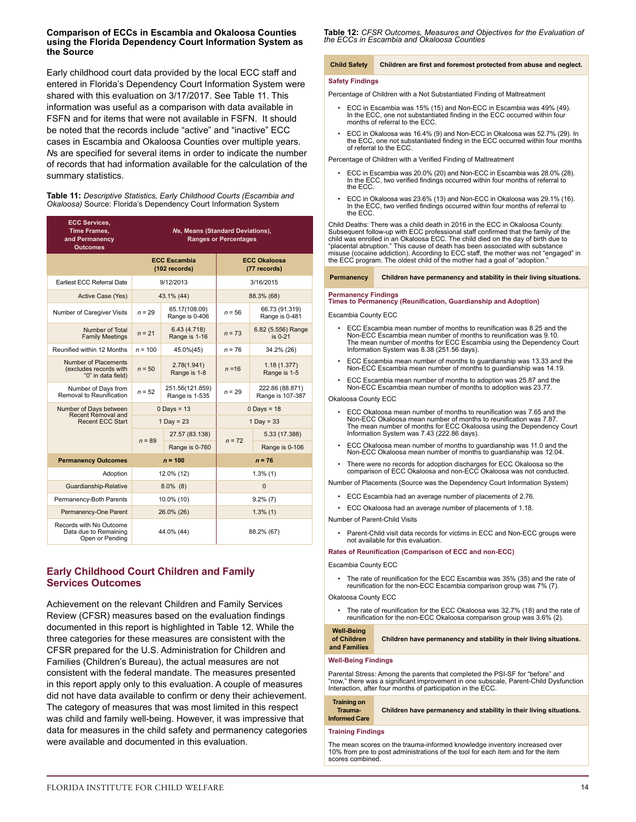#### **Comparison of ECCs in Escambia and Okaloosa Counties using the Florida Dependency Court Information System as the Source**

Early childhood court data provided by the local ECC staff and entered in Florida's Dependency Court Information System were shared with this evaluation on 3/17/2017. See Table 11. This information was useful as a comparison with data available in FSFN and for items that were not available in FSFN. It should be noted that the records include "active" and "inactive" ECC cases in Escambia and Okaloosa Counties over multiple years. *N*s are specified for several items in order to indicate the number of records that had information available for the calculation of the summary statistics.

**Table 11:** *Descriptive Statistics, Early Childhood Courts (Escambia and Okaloosa)* Source: Florida's Dependency Court Information System

| <b>ECC Services,</b><br>Time Frames,<br>and Permanency<br><b>Outcomes</b> | Ns, Means (Standard Deviations),<br><b>Ranges or Percentages</b> |                                      |                                     |                                     |  |  |
|---------------------------------------------------------------------------|------------------------------------------------------------------|--------------------------------------|-------------------------------------|-------------------------------------|--|--|
|                                                                           |                                                                  | <b>ECC Escambia</b><br>(102 records) | <b>ECC Okaloosa</b><br>(77 records) |                                     |  |  |
| Earliest ECC Referral Date                                                |                                                                  | 9/12/2013                            |                                     | 3/16/2015                           |  |  |
| Active Case (Yes)                                                         |                                                                  | 43.1% (44)                           |                                     | 88.3% (68)                          |  |  |
| Number of Caregiver Visits                                                | $n = 29$                                                         | 65.17(108.09)<br>Range is 0-406      |                                     | 66.73 (91.319)<br>Range is 0-481    |  |  |
| Number of Total<br><b>Family Meetings</b>                                 | $n = 21$                                                         | 6.43(4.718)<br>Range is 1-16         | $n = 73$                            | 6.82 (5.556) Range<br>is 0-21       |  |  |
| Reunified within 12 Months                                                | $n = 100$<br>45.0%(45)                                           |                                      | $n = 76$                            | 34.2% (26)                          |  |  |
| Number of Placements<br>(excludes records with<br>"0" in data field)      | $n = 50$                                                         | 2.78(1.941)<br>Range is 1-8          | $n = 16$                            | 1.18(1.377)<br>Range is 1-5         |  |  |
| Number of Days from<br>Removal to Reunification                           | $n = 52$                                                         | 251.56(121.859)<br>Range is 1-535    |                                     | 222.86 (88.871)<br>Range is 107-387 |  |  |
| Number of Days between<br>Recent Removal and                              |                                                                  | $0$ Days = 13                        |                                     | $0$ Days = 18                       |  |  |
| <b>Recent ECC Start</b>                                                   |                                                                  | $1$ Day = 23                         | $1$ Day = 33                        |                                     |  |  |
|                                                                           | $n = 89$                                                         | 27.57 (83.138)                       | $n = 72$                            | 5.33 (17.388)                       |  |  |
|                                                                           |                                                                  | Range is 0-760                       |                                     | Range is 0-106                      |  |  |
| <b>Permanency Outcomes</b>                                                |                                                                  | $n = 100$                            |                                     | $n = 76$                            |  |  |
| Adoption                                                                  |                                                                  | 12.0% (12)                           | $1.3\%$ (1)                         |                                     |  |  |
| Guardianship-Relative                                                     | $8.0\%$ (8)                                                      |                                      | $\Omega$                            |                                     |  |  |
| Permanency-Both Parents                                                   |                                                                  | 10.0% (10)                           |                                     | $9.2\%$ (7)                         |  |  |
| Permanency-One Parent                                                     |                                                                  | 26.0% (26)                           |                                     | $1.3\%$ (1)                         |  |  |
| Records with No Outcome<br>Data due to Remaining<br>Open or Pending       |                                                                  | 44.0% (44)<br>88.2% (67)             |                                     |                                     |  |  |

# **Early Childhood Court Children and Family Services Outcomes**

Achievement on the relevant Children and Family Services Review (CFSR) measures based on the evaluation findings documented in this report is highlighted in Table 12. While the three categories for these measures are consistent with the CFSR prepared for the U.S. Administration for Children and Families (Children's Bureau), the actual measures are not consistent with the federal mandate. The measures presented in this report apply only to this evaluation. A couple of measures did not have data available to confirm or deny their achievement. The category of measures that was most limited in this respect was child and family well-being. However, it was impressive that data for measures in the child safety and permanency categories were available and documented in this evaluation.

**Table 12:** *CFSR Outcomes, Measures and Objectives for the Evaluation of the ECCs in Escambia and Okaloosa Counties*

# **Child Safety Children are first and foremost protected from abuse and neglect.**

#### **Safety Findings**

Percentage of Children with a Not Substantiated Finding of Maltreatment

- ECC in Escambia was 15% (15) and Non-ECC in Escambia was 49% (49). In the ECC, one not substantiated finding in the ECC occurred within four months of referral to the ECC.
- ECC in Okaloosa was 16.4% (9) and Non-ECC in Okaloosa was 52.7% (29). In the ECC, one not substantiated finding in the ECC occurred within four months of referral to the ECC.

Percentage of Children with a Verified Finding of Maltreatment

- ECC in Escambia was 20.0% (20) and Non-ECC in Escambia was 28.0% (28). In the ECC, two verified findings occurred within four months of referral to the ECC.
- ECC in Okaloosa was 23.6% (13) and Non-ECC in Okaloosa was 29.1% (16). In the ECC, two verified findings occurred within four months of referral to the ECC.

Child Deaths: There was a child death in 2016 in the ECC in Okaloosa County. Subsequent follow-up with ECC professional staff confirmed that the family of the<br>child was enrolled in an Okaloosa ECC. The child died on the day of birth due to<br>"placental abruption." This cause of death has been associa

#### **Permanency Children have permanency and stability in their living situations.**

# **Permanency Findings Times to Permanency (Reunification, Guardianship and Adoption)**

Escambia County ECC

- ECC Escambia mean number of months to reunification was 8.25 and the Non-ECC Escambia mean number of months to reunification was 9.10. The mean number of months for ECC Escambia using the Dependency Court Information System was 8.38 (251.56 days).
- ECC Escambia mean number of months to guardianship was 13.33 and the Non-ECC Escambia mean number of months to guardianship was 14.19.
- ECC Escambia mean number of months to adoption was 25.87 and the Non-ECC Escambia mean number of months to adoption was 23.77.

Okaloosa County ECC

- ECC Okaloosa mean number of months to reunification was 7.65 and the Non-ECC Okaloosa mean number of months to reunification was 7.87. The mean number of months for ECC Okaloosa using the Dependency Court Information System was 7.43 (222.86 days).
- ECC Okaloosa mean number of months to guardianship was 11.0 and the Non-ECC Okaloosa mean number of months to guardianship was 12.04.
- There were no records for adoption discharges for ECC Okaloosa so the comparison of ECC Okaloosa and non-ECC Okaloosa was not conducted.

Number of Placements (Source was the Dependency Court Information System)

- ECC Escambia had an average number of placements of 2.76.
- ECC Okaloosa had an average number of placements of 1.18.

Number of Parent-Child Visits

• Parent-Child visit data records for victims in ECC and Non-ECC groups were not available for this evaluation.

#### **Rates of Reunification (Comparison of ECC and non-ECC)**

Escambia County ECC

The rate of reunification for the ECC Escambia was 35% (35) and the rate of reunification for the non-ECC Escambia comparison group was 7% (7).

#### Okaloosa County ECC

• The rate of reunification for the ECC Okaloosa was 32.7% (18) and the rate of reunification for the non-ECC Okaloosa comparison group was 3.6% (2).

#### **Well-Being of Children and Families Children have permanency and stability in their living situations.**

#### **Well-Being Findings**

Parental Stress: Among the parents that completed the PSI-SF for "before" and "now," there was a significant improvement in one subscale, Parent-Child Dysfunction Interaction, after four months of participation in the ECC.

#### **Training on Trauma-**

**Informed Care Children have permanency and stability in their living situations.**

#### **Training Findings**

The mean scores on the trauma-informed knowledge inventory increased over 10% from pre to post administrations of the tool for each item and for the item scores combined.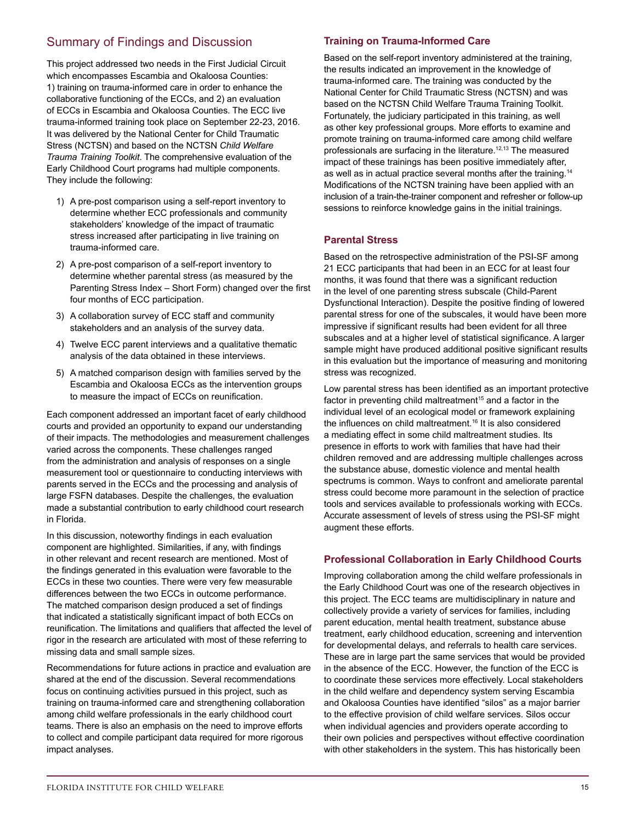# Summary of Findings and Discussion

This project addressed two needs in the First Judicial Circuit which encompasses Escambia and Okaloosa Counties: 1) training on trauma-informed care in order to enhance the collaborative functioning of the ECCs, and 2) an evaluation of ECCs in Escambia and Okaloosa Counties. The ECC live trauma-informed training took place on September 22-23, 2016. It was delivered by the National Center for Child Traumatic Stress (NCTSN) and based on the NCTSN *Child Welfare Trauma Training Toolkit*. The comprehensive evaluation of the Early Childhood Court programs had multiple components. They include the following:

- 1) A pre-post comparison using a self-report inventory to determine whether ECC professionals and community stakeholders' knowledge of the impact of traumatic stress increased after participating in live training on trauma-informed care.
- 2) A pre-post comparison of a self-report inventory to determine whether parental stress (as measured by the Parenting Stress Index – Short Form) changed over the first four months of ECC participation.
- 3) A collaboration survey of ECC staff and community stakeholders and an analysis of the survey data.
- 4) Twelve ECC parent interviews and a qualitative thematic analysis of the data obtained in these interviews.
- 5) A matched comparison design with families served by the Escambia and Okaloosa ECCs as the intervention groups to measure the impact of ECCs on reunification.

Each component addressed an important facet of early childhood courts and provided an opportunity to expand our understanding of their impacts. The methodologies and measurement challenges varied across the components. These challenges ranged from the administration and analysis of responses on a single measurement tool or questionnaire to conducting interviews with parents served in the ECCs and the processing and analysis of large FSFN databases. Despite the challenges, the evaluation made a substantial contribution to early childhood court research in Florida.

In this discussion, noteworthy findings in each evaluation component are highlighted. Similarities, if any, with findings in other relevant and recent research are mentioned. Most of the findings generated in this evaluation were favorable to the ECCs in these two counties. There were very few measurable differences between the two ECCs in outcome performance. The matched comparison design produced a set of findings that indicated a statistically significant impact of both ECCs on reunification. The limitations and qualifiers that affected the level of rigor in the research are articulated with most of these referring to missing data and small sample sizes.

Recommendations for future actions in practice and evaluation are shared at the end of the discussion. Several recommendations focus on continuing activities pursued in this project, such as training on trauma-informed care and strengthening collaboration among child welfare professionals in the early childhood court teams. There is also an emphasis on the need to improve efforts to collect and compile participant data required for more rigorous impact analyses.

# **Training on Trauma-Informed Care**

Based on the self-report inventory administered at the training, the results indicated an improvement in the knowledge of trauma-informed care. The training was conducted by the National Center for Child Traumatic Stress (NCTSN) and was based on the NCTSN Child Welfare Trauma Training Toolkit. Fortunately, the judiciary participated in this training, as well as other key professional groups. More efforts to examine and promote training on trauma-informed care among child welfare professionals are surfacing in the literature.<sup>12,13</sup> The measured impact of these trainings has been positive immediately after, as well as in actual practice several months after the training. 14 Modifications of the NCTSN training have been applied with an inclusion of a train-the-trainer component and refresher or follow-up sessions to reinforce knowledge gains in the initial trainings.

# **Parental Stress**

Based on the retrospective administration of the PSI-SF among 21 ECC participants that had been in an ECC for at least four months, it was found that there was a significant reduction in the level of one parenting stress subscale (Child-Parent Dysfunctional Interaction). Despite the positive finding of lowered parental stress for one of the subscales, it would have been more impressive if significant results had been evident for all three subscales and at a higher level of statistical significance. A larger sample might have produced additional positive significant results in this evaluation but the importance of measuring and monitoring stress was recognized.

Low parental stress has been identified as an important protective factor in preventing child maltreatment<sup>15</sup> and a factor in the individual level of an ecological model or framework explaining the influences on child maltreatment.<sup>16</sup> It is also considered a mediating effect in some child maltreatment studies. Its presence in efforts to work with families that have had their children removed and are addressing multiple challenges across the substance abuse, domestic violence and mental health spectrums is common. Ways to confront and ameliorate parental stress could become more paramount in the selection of practice tools and services available to professionals working with ECCs. Accurate assessment of levels of stress using the PSI-SF might augment these efforts.

# **Professional Collaboration in Early Childhood Courts**

Improving collaboration among the child welfare professionals in the Early Childhood Court was one of the research objectives in this project. The ECC teams are multidisciplinary in nature and collectively provide a variety of services for families, including parent education, mental health treatment, substance abuse treatment, early childhood education, screening and intervention for developmental delays, and referrals to health care services. These are in large part the same services that would be provided in the absence of the ECC. However, the function of the ECC is to coordinate these services more effectively. Local stakeholders in the child welfare and dependency system serving Escambia and Okaloosa Counties have identified "silos" as a major barrier to the effective provision of child welfare services. Silos occur when individual agencies and providers operate according to their own policies and perspectives without effective coordination with other stakeholders in the system. This has historically been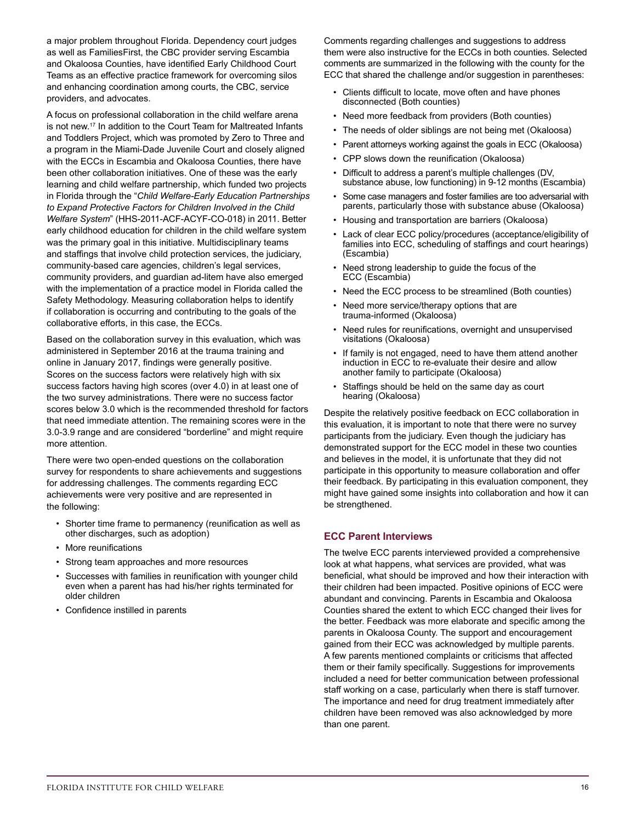a major problem throughout Florida. Dependency court judges as well as FamiliesFirst, the CBC provider serving Escambia and Okaloosa Counties, have identified Early Childhood Court Teams as an effective practice framework for overcoming silos and enhancing coordination among courts, the CBC, service providers, and advocates.

A focus on professional collaboration in the child welfare arena is not new.17 In addition to the Court Team for Maltreated Infants and Toddlers Project, which was promoted by Zero to Three and a program in the Miami-Dade Juvenile Court and closely aligned with the ECCs in Escambia and Okaloosa Counties, there have been other collaboration initiatives. One of these was the early learning and child welfare partnership, which funded two projects in Florida through the "*Child Welfare-Early Education Partnerships to Expand Protective Factors for Children Involved in the Child Welfare System*" (HHS-2011-ACF-ACYF-CO-018) in 2011. Better early childhood education for children in the child welfare system was the primary goal in this initiative. Multidisciplinary teams and staffings that involve child protection services, the judiciary, community-based care agencies, children's legal services, community providers, and guardian ad-litem have also emerged with the implementation of a practice model in Florida called the Safety Methodology. Measuring collaboration helps to identify if collaboration is occurring and contributing to the goals of the collaborative efforts, in this case, the ECCs.

Based on the collaboration survey in this evaluation, which was administered in September 2016 at the trauma training and online in January 2017, findings were generally positive. Scores on the success factors were relatively high with six success factors having high scores (over 4.0) in at least one of the two survey administrations. There were no success factor scores below 3.0 which is the recommended threshold for factors that need immediate attention. The remaining scores were in the 3.0-3.9 range and are considered "borderline" and might require more attention.

There were two open-ended questions on the collaboration survey for respondents to share achievements and suggestions for addressing challenges. The comments regarding ECC achievements were very positive and are represented in the following:

- Shorter time frame to permanency (reunification as well as other discharges, such as adoption)
- More reunifications
- Strong team approaches and more resources
- Successes with families in reunification with younger child even when a parent has had his/her rights terminated for older children
- Confidence instilled in parents

Comments regarding challenges and suggestions to address them were also instructive for the ECCs in both counties. Selected comments are summarized in the following with the county for the ECC that shared the challenge and/or suggestion in parentheses:

- Clients difficult to locate, move often and have phones disconnected (Both counties)
- Need more feedback from providers (Both counties)
- The needs of older siblings are not being met (Okaloosa)
- Parent attorneys working against the goals in ECC (Okaloosa)
- CPP slows down the reunification (Okaloosa)
- Difficult to address a parent's multiple challenges (DV, substance abuse, low functioning) in 9-12 months (Escambia)
- Some case managers and foster families are too adversarial with parents, particularly those with substance abuse (Okaloosa)
- Housing and transportation are barriers (Okaloosa)
- Lack of clear ECC policy/procedures (acceptance/eligibility of families into ECC, scheduling of staffings and court hearings) (Escambia)
- Need strong leadership to guide the focus of the ECC (Escambia)
- Need the ECC process to be streamlined (Both counties)
- Need more service/therapy options that are trauma-informed (Okaloosa)
- Need rules for reunifications, overnight and unsupervised visitations (Okaloosa)
- If family is not engaged, need to have them attend another induction in ECC to re-evaluate their desire and allow another family to participate (Okaloosa)
- Staffings should be held on the same day as court hearing (Okaloosa)

Despite the relatively positive feedback on ECC collaboration in this evaluation, it is important to note that there were no survey participants from the judiciary. Even though the judiciary has demonstrated support for the ECC model in these two counties and believes in the model, it is unfortunate that they did not participate in this opportunity to measure collaboration and offer their feedback. By participating in this evaluation component, they might have gained some insights into collaboration and how it can be strengthened.

# **ECC Parent Interviews**

The twelve ECC parents interviewed provided a comprehensive look at what happens, what services are provided, what was beneficial, what should be improved and how their interaction with their children had been impacted. Positive opinions of ECC were abundant and convincing. Parents in Escambia and Okaloosa Counties shared the extent to which ECC changed their lives for the better. Feedback was more elaborate and specific among the parents in Okaloosa County. The support and encouragement gained from their ECC was acknowledged by multiple parents. A few parents mentioned complaints or criticisms that affected them or their family specifically. Suggestions for improvements included a need for better communication between professional staff working on a case, particularly when there is staff turnover. The importance and need for drug treatment immediately after children have been removed was also acknowledged by more than one parent.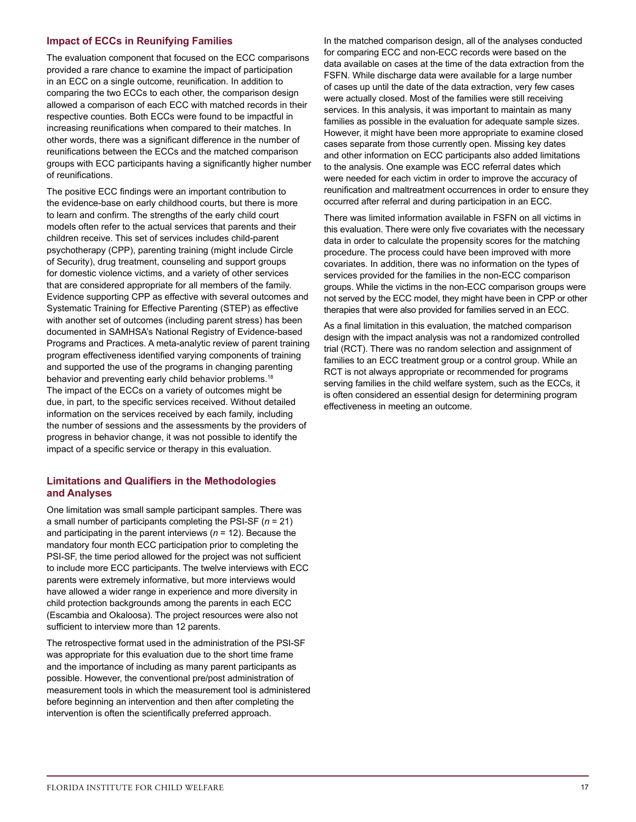# **Impact of ECCs in Reunifying Families**

The evaluation component that focused on the ECC comparisons provided a rare chance to examine the impact of participation in an ECC on a single outcome, reunification. In addition to comparing the two ECCs to each other, the comparison design allowed a comparison of each ECC with matched records in their respective counties. Both ECCs were found to be impactful in increasing reunifications when compared to their matches. In other words, there was a significant difference in the number of reunifications between the ECCs and the matched comparison groups with ECC participants having a significantly higher number of reunifications.

The positive ECC findings were an important contribution to the evidence-base on early childhood courts, but there is more to learn and confirm. The strengths of the early child court models often refer to the actual services that parents and their children receive. This set of services includes child-parent psychotherapy (CPP), parenting training (might include Circle of Security), drug treatment, counseling and support groups for domestic violence victims, and a variety of other services that are considered appropriate for all members of the family. Evidence supporting CPP as effective with several outcomes and Systematic Training for Effective Parenting (STEP) as effective with another set of outcomes (including parent stress) has been documented in SAMHSA's National Registry of Evidence-based Programs and Practices. A meta-analytic review of parent training program effectiveness identified varying components of training and supported the use of the programs in changing parenting behavior and preventing early child behavior problems.<sup>18</sup> The impact of the ECCs on a variety of outcomes might be due, in part, to the specific services received. Without detailed information on the services received by each family, including the number of sessions and the assessments by the providers of progress in behavior change, it was not possible to identify the impact of a specific service or therapy in this evaluation.

# **Limitations and Qualifiers in the Methodologies and Analyses**

One limitation was small sample participant samples. There was a small number of participants completing the PSI-SF (*n* = 21) and participating in the parent interviews (*n* = 12). Because the mandatory four month ECC participation prior to completing the PSI-SF, the time period allowed for the project was not sufficient to include more ECC participants. The twelve interviews with ECC parents were extremely informative, but more interviews would have allowed a wider range in experience and more diversity in child protection backgrounds among the parents in each ECC (Escambia and Okaloosa). The project resources were also not sufficient to interview more than 12 parents.

The retrospective format used in the administration of the PSI-SF was appropriate for this evaluation due to the short time frame and the importance of including as many parent participants as possible. However, the conventional pre/post administration of measurement tools in which the measurement tool is administered before beginning an intervention and then after completing the intervention is often the scientifically preferred approach.

In the matched comparison design, all of the analyses conducted for comparing ECC and non-ECC records were based on the data available on cases at the time of the data extraction from the FSFN. While discharge data were available for a large number of cases up until the date of the data extraction, very few cases were actually closed. Most of the families were still receiving services. In this analysis, it was important to maintain as many families as possible in the evaluation for adequate sample sizes. However, it might have been more appropriate to examine closed cases separate from those currently open. Missing key dates and other information on ECC participants also added limitations to the analysis. One example was ECC referral dates which were needed for each victim in order to improve the accuracy of reunification and maltreatment occurrences in order to ensure they occurred after referral and during participation in an ECC.

There was limited information available in FSFN on all victims in this evaluation. There were only five covariates with the necessary data in order to calculate the propensity scores for the matching procedure. The process could have been improved with more covariates. In addition, there was no information on the types of services provided for the families in the non-ECC comparison groups. While the victims in the non-ECC comparison groups were not served by the ECC model, they might have been in CPP or other therapies that were also provided for families served in an ECC.

As a final limitation in this evaluation, the matched comparison design with the impact analysis was not a randomized controlled trial (RCT). There was no random selection and assignment of families to an ECC treatment group or a control group. While an RCT is not always appropriate or recommended for programs serving families in the child welfare system, such as the ECCs, it is often considered an essential design for determining program effectiveness in meeting an outcome.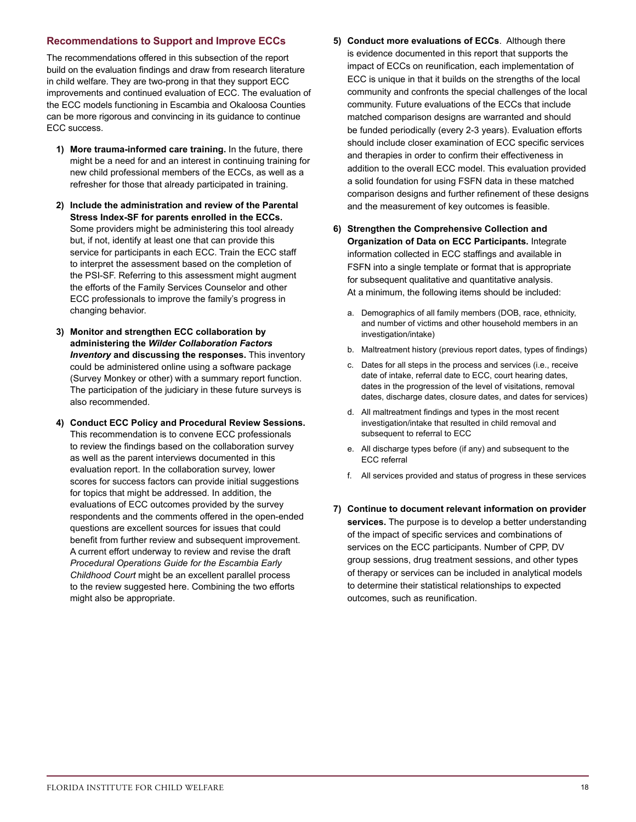# **Recommendations to Support and Improve ECCs**

The recommendations offered in this subsection of the report build on the evaluation findings and draw from research literature in child welfare. They are two-prong in that they support ECC improvements and continued evaluation of ECC. The evaluation of the ECC models functioning in Escambia and Okaloosa Counties can be more rigorous and convincing in its guidance to continue ECC success.

- **1) More trauma-informed care training.** In the future, there might be a need for and an interest in continuing training for new child professional members of the ECCs, as well as a refresher for those that already participated in training.
- **2) Include the administration and review of the Parental Stress Index-SF for parents enrolled in the ECCs.** Some providers might be administering this tool already but, if not, identify at least one that can provide this service for participants in each ECC. Train the ECC staff to interpret the assessment based on the completion of the PSI-SF. Referring to this assessment might augment the efforts of the Family Services Counselor and other ECC professionals to improve the family's progress in changing behavior.
- **3) Monitor and strengthen ECC collaboration by administering the** *Wilder Collaboration Factors Inventory* **and discussing the responses.** This inventory could be administered online using a software package (Survey Monkey or other) with a summary report function. The participation of the judiciary in these future surveys is also recommended.
- **4) Conduct ECC Policy and Procedural Review Sessions.** This recommendation is to convene ECC professionals to review the findings based on the collaboration survey as well as the parent interviews documented in this evaluation report. In the collaboration survey, lower scores for success factors can provide initial suggestions for topics that might be addressed. In addition, the evaluations of ECC outcomes provided by the survey respondents and the comments offered in the open-ended questions are excellent sources for issues that could benefit from further review and subsequent improvement. A current effort underway to review and revise the draft *Procedural Operations Guide for the Escambia Early Childhood Court* might be an excellent parallel process to the review suggested here. Combining the two efforts might also be appropriate.
- **5) Conduct more evaluations of ECCs**. Although there is evidence documented in this report that supports the impact of ECCs on reunification, each implementation of ECC is unique in that it builds on the strengths of the local community and confronts the special challenges of the local community. Future evaluations of the ECCs that include matched comparison designs are warranted and should be funded periodically (every 2-3 years). Evaluation efforts should include closer examination of ECC specific services and therapies in order to confirm their effectiveness in addition to the overall ECC model. This evaluation provided a solid foundation for using FSFN data in these matched comparison designs and further refinement of these designs and the measurement of key outcomes is feasible.
- **6) Strengthen the Comprehensive Collection and Organization of Data on ECC Participants.** Integrate information collected in ECC staffings and available in FSFN into a single template or format that is appropriate for subsequent qualitative and quantitative analysis. At a minimum, the following items should be included:
	- a. Demographics of all family members (DOB, race, ethnicity, and number of victims and other household members in an investigation/intake)
	- b. Maltreatment history (previous report dates, types of findings)
	- c. Dates for all steps in the process and services (i.e., receive date of intake, referral date to ECC, court hearing dates, dates in the progression of the level of visitations, removal dates, discharge dates, closure dates, and dates for services)
	- d. All maltreatment findings and types in the most recent investigation/intake that resulted in child removal and subsequent to referral to ECC
	- e. All discharge types before (if any) and subsequent to the ECC referral
	- f. All services provided and status of progress in these services
- **7) Continue to document relevant information on provider services.** The purpose is to develop a better understanding of the impact of specific services and combinations of services on the ECC participants. Number of CPP, DV group sessions, drug treatment sessions, and other types of therapy or services can be included in analytical models to determine their statistical relationships to expected outcomes, such as reunification.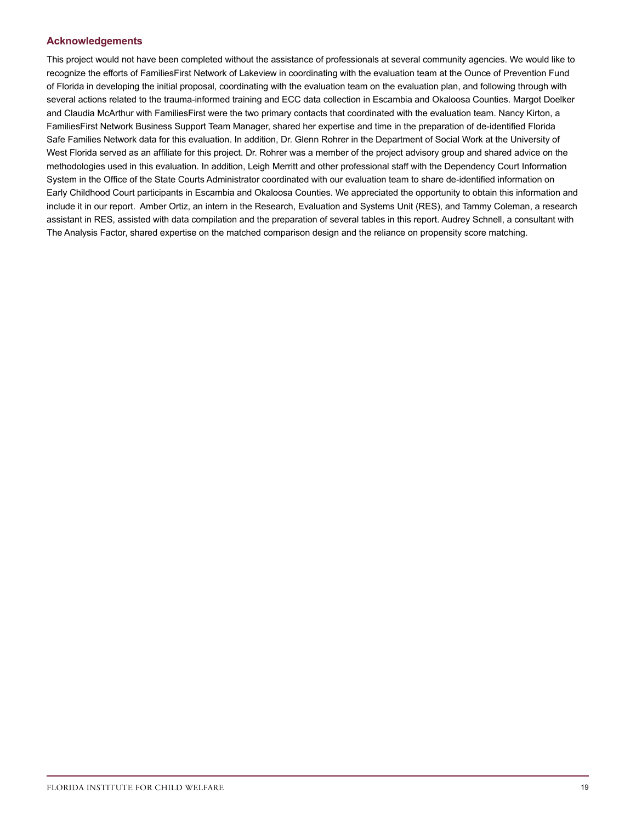# **Acknowledgements**

This project would not have been completed without the assistance of professionals at several community agencies. We would like to recognize the efforts of FamiliesFirst Network of Lakeview in coordinating with the evaluation team at the Ounce of Prevention Fund of Florida in developing the initial proposal, coordinating with the evaluation team on the evaluation plan, and following through with several actions related to the trauma-informed training and ECC data collection in Escambia and Okaloosa Counties. Margot Doelker and Claudia McArthur with FamiliesFirst were the two primary contacts that coordinated with the evaluation team. Nancy Kirton, a FamiliesFirst Network Business Support Team Manager, shared her expertise and time in the preparation of de-identified Florida Safe Families Network data for this evaluation. In addition, Dr. Glenn Rohrer in the Department of Social Work at the University of West Florida served as an affiliate for this project. Dr. Rohrer was a member of the project advisory group and shared advice on the methodologies used in this evaluation. In addition, Leigh Merritt and other professional staff with the Dependency Court Information System in the Office of the State Courts Administrator coordinated with our evaluation team to share de-identified information on Early Childhood Court participants in Escambia and Okaloosa Counties. We appreciated the opportunity to obtain this information and include it in our report. Amber Ortiz, an intern in the Research, Evaluation and Systems Unit (RES), and Tammy Coleman, a research assistant in RES, assisted with data compilation and the preparation of several tables in this report. Audrey Schnell, a consultant with The Analysis Factor, shared expertise on the matched comparison design and the reliance on propensity score matching.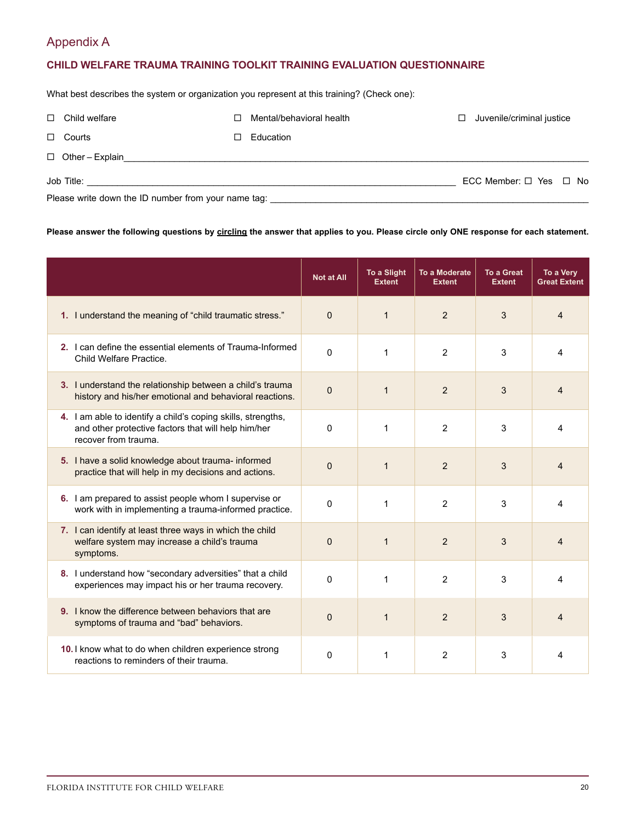# Appendix A

# **CHILD WELFARE TRAUMA TRAINING TOOLKIT TRAINING EVALUATION QUESTIONNAIRE**

What best describes the system or organization you represent at this training? (Check one):

| $\Box$ Child welfare                                | П      | Mental/behavioral health | □ | Juvenile/criminal justice        |  |  |
|-----------------------------------------------------|--------|--------------------------|---|----------------------------------|--|--|
| $\Box$ Courts                                       | $\Box$ | Education                |   |                                  |  |  |
| $\Box$ Other - Explain                              |        |                          |   |                                  |  |  |
|                                                     |        |                          |   | ECC Member: $\Box$ Yes $\Box$ No |  |  |
| Please write down the ID number from your name tag: |        |                          |   |                                  |  |  |

# **Please answer the following questions by circling the answer that applies to you. Please circle only ONE response for each statement.**

|                                                                                                                                             | Not at All | <b>To a Slight</b><br><b>Extent</b> | <b>To a Moderate</b><br><b>Extent</b> | <b>To a Great</b><br><b>Extent</b> | To a Very<br><b>Great Extent</b> |
|---------------------------------------------------------------------------------------------------------------------------------------------|------------|-------------------------------------|---------------------------------------|------------------------------------|----------------------------------|
| 1. I understand the meaning of "child traumatic stress."                                                                                    | $\Omega$   | $\mathbf{1}$                        | 2                                     | 3                                  | 4                                |
| 2. I can define the essential elements of Trauma-Informed<br>Child Welfare Practice.                                                        | $\Omega$   | 1                                   | 2                                     | 3                                  | 4                                |
| 3. I understand the relationship between a child's trauma<br>history and his/her emotional and behavioral reactions.                        | $\Omega$   | $\mathbf{1}$                        | 2                                     | 3                                  | 4                                |
| 4. I am able to identify a child's coping skills, strengths,<br>and other protective factors that will help him/her<br>recover from trauma. | $\Omega$   | 1                                   | $\overline{2}$                        | 3                                  | 4                                |
| 5. I have a solid knowledge about trauma- informed<br>practice that will help in my decisions and actions.                                  | $\Omega$   | $\mathbf{1}$                        | 2                                     | 3                                  | 4                                |
| 6. I am prepared to assist people whom I supervise or<br>work with in implementing a trauma-informed practice.                              | $\Omega$   | 1                                   | 2                                     | 3                                  | 4                                |
| 7. I can identify at least three ways in which the child<br>welfare system may increase a child's trauma<br>symptoms.                       | $\Omega$   | $\mathbf{1}$                        | 2                                     | 3                                  | 4                                |
| 8. I understand how "secondary adversities" that a child<br>experiences may impact his or her trauma recovery.                              | $\Omega$   | 1                                   | 2                                     | 3                                  | 4                                |
| <b>9.</b> I know the difference between behaviors that are<br>symptoms of trauma and "bad" behaviors.                                       | $\Omega$   | $\mathbf{1}$                        | 2                                     | 3                                  | Δ                                |
| 10. I know what to do when children experience strong<br>reactions to reminders of their trauma.                                            | $\Omega$   | 1                                   | 2                                     | 3                                  | 4                                |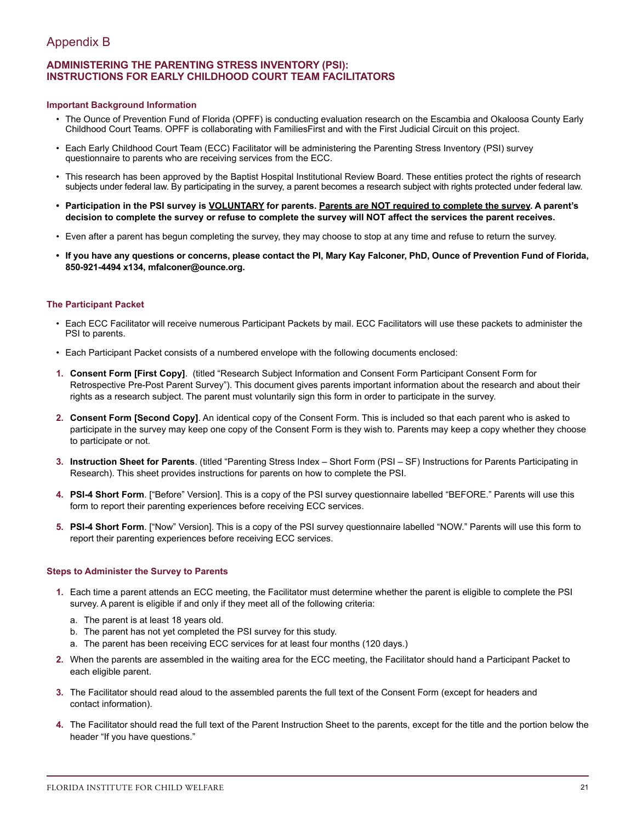# Appendix B

# **ADMINISTERING THE PARENTING STRESS INVENTORY (PSI): INSTRUCTIONS FOR EARLY CHILDHOOD COURT TEAM FACILITATORS**

### **Important Background Information**

- The Ounce of Prevention Fund of Florida (OPFF) is conducting evaluation research on the Escambia and Okaloosa County Early Childhood Court Teams. OPFF is collaborating with FamiliesFirst and with the First Judicial Circuit on this project.
- Each Early Childhood Court Team (ECC) Facilitator will be administering the Parenting Stress Inventory (PSI) survey questionnaire to parents who are receiving services from the ECC.
- This research has been approved by the Baptist Hospital Institutional Review Board. These entities protect the rights of research subjects under federal law. By participating in the survey, a parent becomes a research subject with rights protected under federal law.
- Participation in the PSI survey is VOLUNTARY for parents. Parents are NOT required to complete the survey. A parent's **decision to complete the survey or refuse to complete the survey will NOT affect the services the parent receives.**
- Even after a parent has begun completing the survey, they may choose to stop at any time and refuse to return the survey.
- **• If you have any questions or concerns, please contact the PI, Mary Kay Falconer, PhD, Ounce of Prevention Fund of Florida, 850-921-4494 x134, mfalconer@ounce.org.**

# **The Participant Packet**

- Each ECC Facilitator will receive numerous Participant Packets by mail. ECC Facilitators will use these packets to administer the PSI to parents.
- Each Participant Packet consists of a numbered envelope with the following documents enclosed:
- **1. Consent Form [First Copy]**. (titled "Research Subject Information and Consent Form Participant Consent Form for Retrospective Pre-Post Parent Survey"). This document gives parents important information about the research and about their rights as a research subject. The parent must voluntarily sign this form in order to participate in the survey.
- **2. Consent Form [Second Copy]**. An identical copy of the Consent Form. This is included so that each parent who is asked to participate in the survey may keep one copy of the Consent Form is they wish to. Parents may keep a copy whether they choose to participate or not.
- **3. Instruction Sheet for Parents**. (titled "Parenting Stress Index Short Form (PSI SF) Instructions for Parents Participating in Research). This sheet provides instructions for parents on how to complete the PSI.
- **4. PSI-4 Short Form**. ["Before" Version]. This is a copy of the PSI survey questionnaire labelled "BEFORE." Parents will use this form to report their parenting experiences before receiving ECC services.
- **5. PSI-4 Short Form**. ["Now" Version]. This is a copy of the PSI survey questionnaire labelled "NOW." Parents will use this form to report their parenting experiences before receiving ECC services.

# **Steps to Administer the Survey to Parents**

- **1.** Each time a parent attends an ECC meeting, the Facilitator must determine whether the parent is eligible to complete the PSI survey. A parent is eligible if and only if they meet all of the following criteria:
	- a. The parent is at least 18 years old.
	- b. The parent has not yet completed the PSI survey for this study.
	- a. The parent has been receiving ECC services for at least four months (120 days.)
- **2.** When the parents are assembled in the waiting area for the ECC meeting, the Facilitator should hand a Participant Packet to each eligible parent.
- **3.** The Facilitator should read aloud to the assembled parents the full text of the Consent Form (except for headers and contact information).
- **4.** The Facilitator should read the full text of the Parent Instruction Sheet to the parents, except for the title and the portion below the header "If you have questions."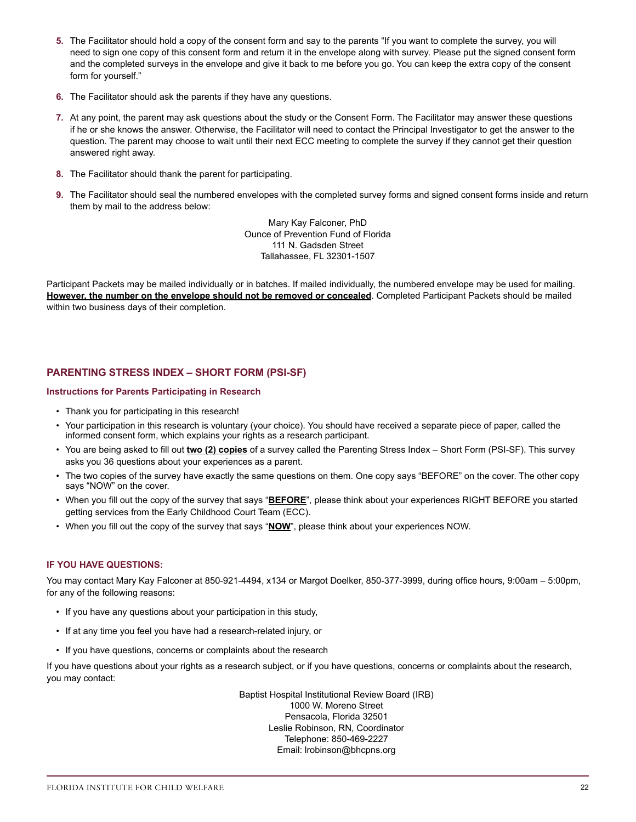- **5.** The Facilitator should hold a copy of the consent form and say to the parents "If you want to complete the survey, you will need to sign one copy of this consent form and return it in the envelope along with survey. Please put the signed consent form and the completed surveys in the envelope and give it back to me before you go. You can keep the extra copy of the consent form for yourself."
- **6.** The Facilitator should ask the parents if they have any questions.
- **7.** At any point, the parent may ask questions about the study or the Consent Form. The Facilitator may answer these questions if he or she knows the answer. Otherwise, the Facilitator will need to contact the Principal Investigator to get the answer to the question. The parent may choose to wait until their next ECC meeting to complete the survey if they cannot get their question answered right away.
- **8.** The Facilitator should thank the parent for participating.
- **9.** The Facilitator should seal the numbered envelopes with the completed survey forms and signed consent forms inside and return them by mail to the address below:

Mary Kay Falconer, PhD Ounce of Prevention Fund of Florida 111 N. Gadsden Street Tallahassee, FL 32301-1507

Participant Packets may be mailed individually or in batches. If mailed individually, the numbered envelope may be used for mailing. **However, the number on the envelope should not be removed or concealed**. Completed Participant Packets should be mailed within two business days of their completion.

# **PARENTING STRESS INDEX – SHORT FORM (PSI-SF)**

#### **Instructions for Parents Participating in Research**

- Thank you for participating in this research!
- Your participation in this research is voluntary (your choice). You should have received a separate piece of paper, called the informed consent form, which explains your rights as a research participant.
- You are being asked to fill out **two (2) copies** of a survey called the Parenting Stress Index Short Form (PSI-SF). This survey asks you 36 questions about your experiences as a parent.
- The two copies of the survey have exactly the same questions on them. One copy says "BEFORE" on the cover. The other copy says "NOW" on the cover.
- When you fill out the copy of the survey that says "**BEFORE**", please think about your experiences RIGHT BEFORE you started getting services from the Early Childhood Court Team (ECC).
- When you fill out the copy of the survey that says "**NOW**", please think about your experiences NOW.

### **IF YOU HAVE QUESTIONS:**

You may contact Mary Kay Falconer at 850-921-4494, x134 or Margot Doelker, 850-377-3999, during office hours, 9:00am – 5:00pm, for any of the following reasons:

- If you have any questions about your participation in this study,
- If at any time you feel you have had a research-related injury, or
- If you have questions, concerns or complaints about the research

If you have questions about your rights as a research subject, or if you have questions, concerns or complaints about the research, you may contact:

> Baptist Hospital Institutional Review Board (IRB) 1000 W. Moreno Street Pensacola, Florida 32501 Leslie Robinson, RN, Coordinator Telephone: 850-469-2227 Email: lrobinson@bhcpns.org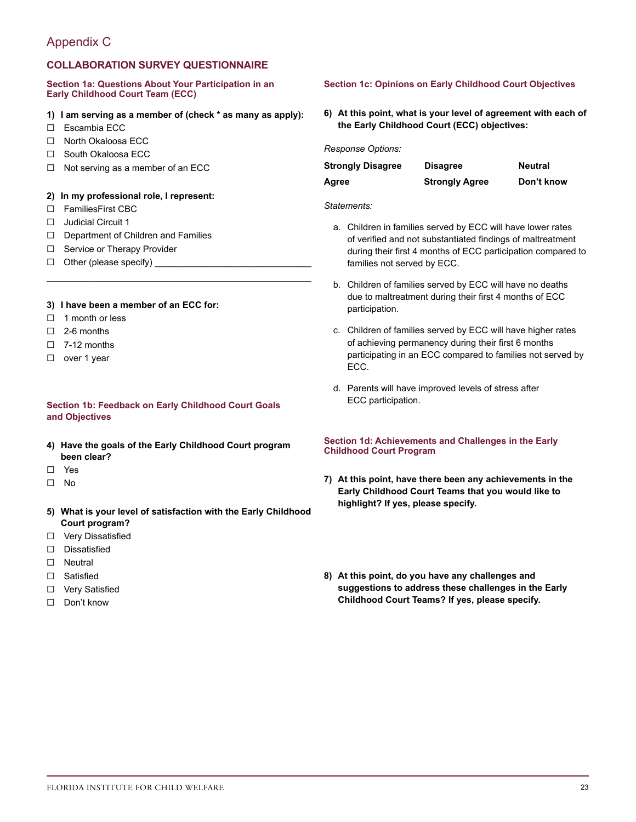# Appendix C

# **COLLABORATION SURVEY QUESTIONNAIRE**

#### **Section 1a: Questions About Your Participation in an Early Childhood Court Team (ECC)**

# **1) I am serving as a member of (check \* as many as apply):**

\_\_\_\_\_\_\_\_\_\_\_\_\_\_\_\_\_\_\_\_\_\_\_\_\_\_\_\_\_\_\_\_\_\_\_\_\_\_\_\_\_\_\_\_\_\_\_\_\_\_\_\_

- $\square$  Escambia ECC
- □ North Okaloosa ECC
- □ South Okaloosa ECC
- $\Box$  Not serving as a member of an ECC

#### **2) In my professional role, I represent:**

- □ FamiliesFirst CBC
- $\Box$  Judicial Circuit 1
- $\square$  Department of Children and Families
- $\square$  Service or Therapy Provider
- $\Box$  Other (please specify)

# **3) I have been a member of an ECC for:**

- $\Box$  1 month or less
- $\Box$  2-6 months
- $\Box$  7-12 months
- □ over 1 year

# **Section 1b: Feedback on Early Childhood Court Goals and Objectives**

- **4) Have the goals of the Early Childhood Court program been clear?**
- ¨ Yes
- $\Pi$  No
- **5) What is your level of satisfaction with the Early Childhood Court program?**
- □ Very Dissatisfied
- $\square$  Dissatisfied
- □ Neutral
- □ Satisfied
- □ Very Satisfied
- □ Don't know

# **Section 1c: Opinions on Early Childhood Court Objectives**

**6) At this point, what is your level of agreement with each of the Early Childhood Court (ECC) objectives:**

*Response Options:*

| <b>Strongly Disagree</b> | <b>Disagree</b>       | Neutral    |
|--------------------------|-----------------------|------------|
| Agree                    | <b>Strongly Agree</b> | Don't know |

#### *Statements:*

- a. Children in families served by ECC will have lower rates of verified and not substantiated findings of maltreatment during their first 4 months of ECC participation compared to families not served by ECC.
- b. Children of families served by ECC will have no deaths due to maltreatment during their first 4 months of ECC participation.
- c. Children of families served by ECC will have higher rates of achieving permanency during their first 6 months participating in an ECC compared to families not served by ECC.
- d. Parents will have improved levels of stress after ECC participation.

#### **Section 1d: Achievements and Challenges in the Early Childhood Court Program**

- **7) At this point, have there been any achievements in the Early Childhood Court Teams that you would like to highlight? If yes, please specify.**
- **8) At this point, do you have any challenges and suggestions to address these challenges in the Early Childhood Court Teams? If yes, please specify.**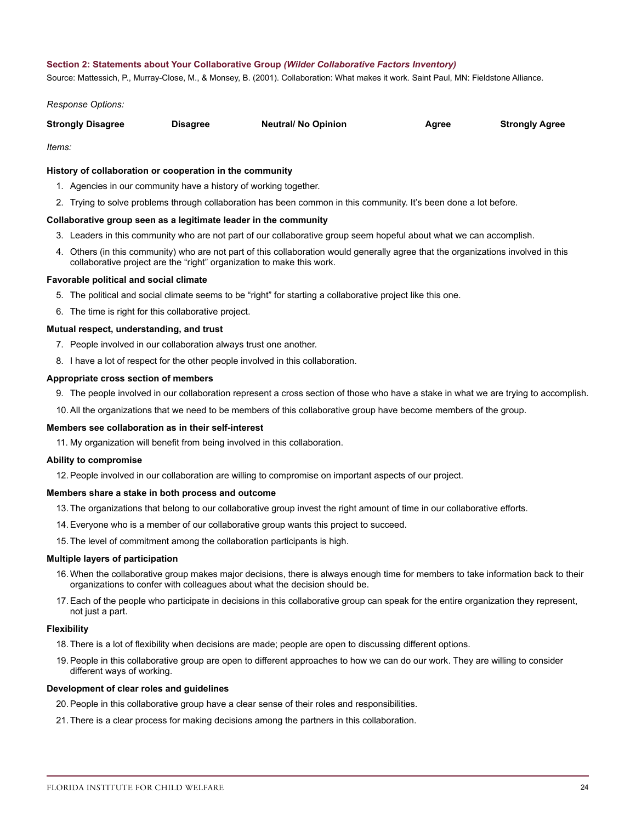#### **Section 2: Statements about Your Collaborative Group** *(Wilder Collaborative Factors Inventory)*

Source: Mattessich, P., Murray-Close, M., & Monsey, B. (2001). Collaboration: What makes it work. Saint Paul, MN: Fieldstone Alliance.

*Response Options:*

| <b>Strongly Disagree</b> | <b>Disagree</b> | <b>Neutral/ No Opinion</b> | Agree | <b>Strongly Agree</b> |
|--------------------------|-----------------|----------------------------|-------|-----------------------|
|                          |                 |                            |       |                       |

*Items:*

#### **History of collaboration or cooperation in the community**

- 1. Agencies in our community have a history of working together.
- 2. Trying to solve problems through collaboration has been common in this community. It's been done a lot before.

#### **Collaborative group seen as a legitimate leader in the community**

- 3. Leaders in this community who are not part of our collaborative group seem hopeful about what we can accomplish.
- 4. Others (in this community) who are not part of this collaboration would generally agree that the organizations involved in this collaborative project are the "right" organization to make this work.

#### **Favorable political and social climate**

- 5. The political and social climate seems to be "right" for starting a collaborative project like this one.
- 6. The time is right for this collaborative project.

#### **Mutual respect, understanding, and trust**

- 7. People involved in our collaboration always trust one another.
- 8. I have a lot of respect for the other people involved in this collaboration.

#### **Appropriate cross section of members**

- 9. The people involved in our collaboration represent a cross section of those who have a stake in what we are trying to accomplish.
- 10.All the organizations that we need to be members of this collaborative group have become members of the group.

# **Members see collaboration as in their self-interest**

11. My organization will benefit from being involved in this collaboration.

#### **Ability to compromise**

12.People involved in our collaboration are willing to compromise on important aspects of our project.

#### **Members share a stake in both process and outcome**

13. The organizations that belong to our collaborative group invest the right amount of time in our collaborative efforts.

- 14.Everyone who is a member of our collaborative group wants this project to succeed.
- 15. The level of commitment among the collaboration participants is high.

#### **Multiple layers of participation**

- 16.When the collaborative group makes major decisions, there is always enough time for members to take information back to their organizations to confer with colleagues about what the decision should be.
- 17.Each of the people who participate in decisions in this collaborative group can speak for the entire organization they represent, not just a part.

#### **Flexibility**

- 18. There is a lot of flexibility when decisions are made; people are open to discussing different options.
- 19.People in this collaborative group are open to different approaches to how we can do our work. They are willing to consider different ways of working.

#### **Development of clear roles and guidelines**

- 20.People in this collaborative group have a clear sense of their roles and responsibilities.
- 21. There is a clear process for making decisions among the partners in this collaboration.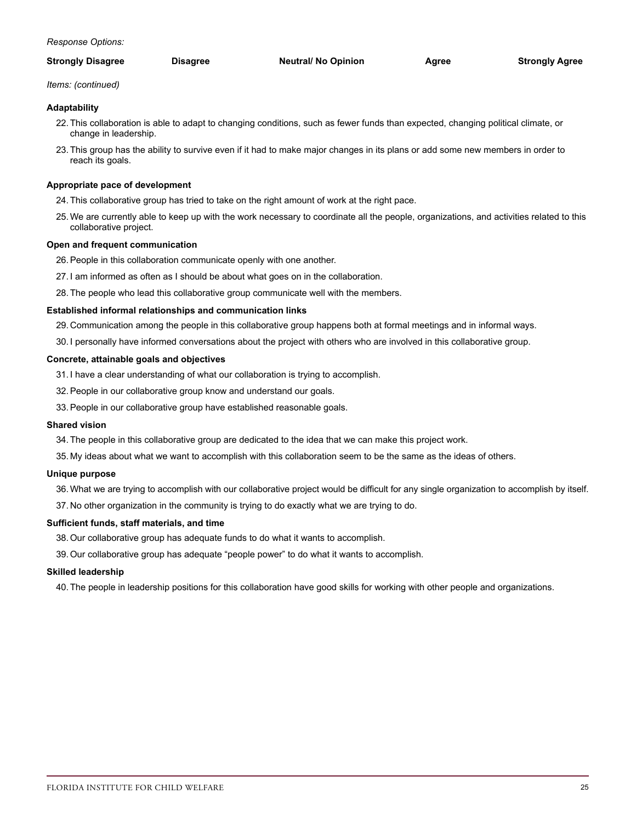| <b>Strongly Disagree</b> | Disagree | <b>Neutral/ No Opinion</b> | Agree | <b>Strongly Agree</b> |
|--------------------------|----------|----------------------------|-------|-----------------------|
|                          |          |                            |       |                       |

*Items: (continued)*

# **Adaptability**

- 22. This collaboration is able to adapt to changing conditions, such as fewer funds than expected, changing political climate, or change in leadership.
- 23. This group has the ability to survive even if it had to make major changes in its plans or add some new members in order to reach its goals.

# **Appropriate pace of development**

- 24. This collaborative group has tried to take on the right amount of work at the right pace.
- 25.We are currently able to keep up with the work necessary to coordinate all the people, organizations, and activities related to this collaborative project.

# **Open and frequent communication**

- 26.People in this collaboration communicate openly with one another.
- 27. I am informed as often as I should be about what goes on in the collaboration.
- 28. The people who lead this collaborative group communicate well with the members.

# **Established informal relationships and communication links**

- 29. Communication among the people in this collaborative group happens both at formal meetings and in informal ways.
- 30. I personally have informed conversations about the project with others who are involved in this collaborative group.

#### **Concrete, attainable goals and objectives**

- 31. I have a clear understanding of what our collaboration is trying to accomplish.
- 32.People in our collaborative group know and understand our goals.
- 33.People in our collaborative group have established reasonable goals.

# **Shared vision**

- 34. The people in this collaborative group are dedicated to the idea that we can make this project work.
- 35. My ideas about what we want to accomplish with this collaboration seem to be the same as the ideas of others.

#### **Unique purpose**

- 36. What we are trying to accomplish with our collaborative project would be difficult for any single organization to accomplish by itself.
- 37. No other organization in the community is trying to do exactly what we are trying to do.

# **Sufficient funds, staff materials, and time**

- 38.Our collaborative group has adequate funds to do what it wants to accomplish.
- 39.Our collaborative group has adequate "people power" to do what it wants to accomplish.

#### **Skilled leadership**

40. The people in leadership positions for this collaboration have good skills for working with other people and organizations.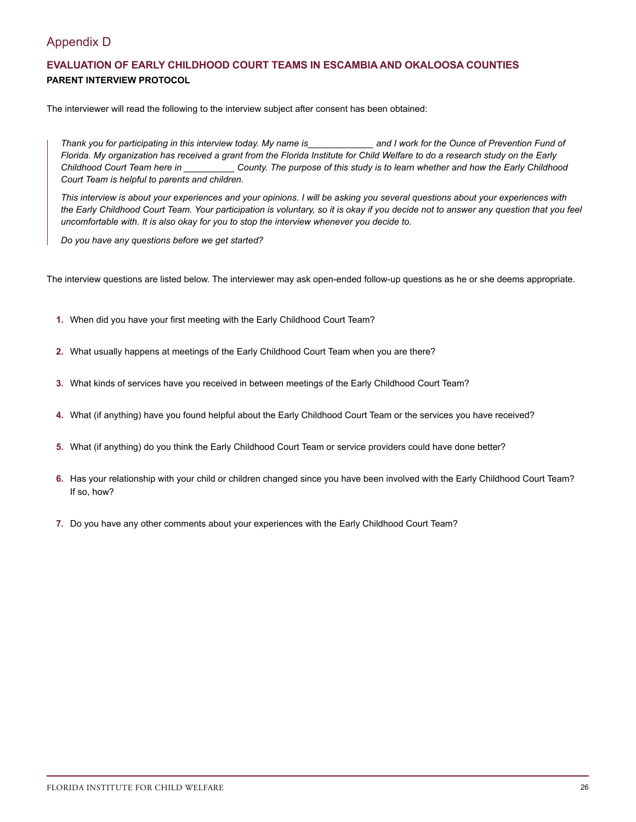# Appendix D

# **EVALUATION OF EARLY CHILDHOOD COURT TEAMS IN ESCAMBIA AND OKALOOSA COUNTIES PARENT INTERVIEW PROTOCOL**

The interviewer will read the following to the interview subject after consent has been obtained:

*Thank you for participating in this interview today. My name is\_\_\_\_\_\_\_\_\_\_\_\_\_ and I work for the Ounce of Prevention Fund of Florida. My organization has received a grant from the Florida Institute for Child Welfare to do a research study on the Early Childhood Court Team here in \_\_\_\_\_\_\_\_\_\_ County. The purpose of this study is to learn whether and how the Early Childhood Court Team is helpful to parents and children.*

*This interview is about your experiences and your opinions. I will be asking you several questions about your experiences with the Early Childhood Court Team. Your participation is voluntary, so it is okay if you decide not to answer any question that you feel uncomfortable with. It is also okay for you to stop the interview whenever you decide to.*

*Do you have any questions before we get started?*

The interview questions are listed below. The interviewer may ask open-ended follow-up questions as he or she deems appropriate.

- **1.** When did you have your first meeting with the Early Childhood Court Team?
- **2.** What usually happens at meetings of the Early Childhood Court Team when you are there?
- **3.** What kinds of services have you received in between meetings of the Early Childhood Court Team?
- **4.** What (if anything) have you found helpful about the Early Childhood Court Team or the services you have received?
- **5.** What (if anything) do you think the Early Childhood Court Team or service providers could have done better?
- **6.** Has your relationship with your child or children changed since you have been involved with the Early Childhood Court Team? If so, how?
- **7.** Do you have any other comments about your experiences with the Early Childhood Court Team?